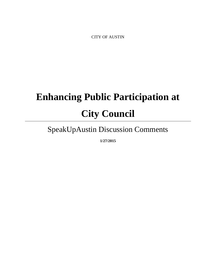CITY OF AUSTIN

# **Enhancing Public Participation at City Council**

# SpeakUpAustin Discussion Comments

**1/27/2015**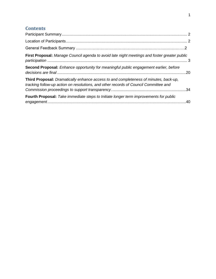# **Contents**

| First Proposal: Manage Council agenda to avoid late night meetings and foster greater public                                                                                 |  |
|------------------------------------------------------------------------------------------------------------------------------------------------------------------------------|--|
| <b>Second Proposal:</b> Enhance opportunity for meaningful public engagement earlier, before                                                                                 |  |
| Third Proposal: Dramatically enhance access to and completeness of minutes, back-up,<br>tracking follow-up action on resolutions, and other records of Council Committee and |  |
| <b>Fourth Proposal:</b> Take immediate steps to Initiate longer term improvements for public                                                                                 |  |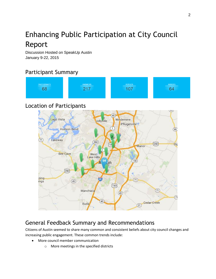# Enhancing Public Participation at City Council Report

Discussion Hosted on SpeakUp Austin January 9-22, 2015

# <span id="page-2-0"></span>Participant Summary

| <b>PARTICIPANTS</b> | <b>ANSWERS</b> | <b>REPLIES</b> | <b>AGREES</b><br>the control of the control of the control of the control of the control of |
|---------------------|----------------|----------------|---------------------------------------------------------------------------------------------|
|                     | м<br>-         |                |                                                                                             |
|                     |                |                |                                                                                             |

## <span id="page-2-1"></span>Location of Participants



# <span id="page-2-2"></span>General Feedback Summary and Recommendations

Citizens of Austin seemed to share many common and consistent beliefs about city council changes and increasing public engagement. These common trends include:

- More council member communication
	- o More meetings in the specified districts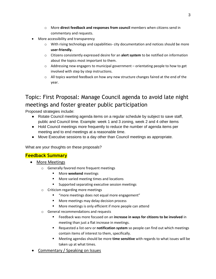- o More **direct feedback and responses from council** members when citizens send in commentary and requests.
- More accessibility and transparency
	- $\circ$  With rising technology and capabilities- city documentation and notices should be more **user-friendly.**
	- o Citizens consistently expressed desire for an **alert system** to be notified on information about the topics most important to them.
	- $\circ$  Addressing new engagers to municipal government orientating people to how to get involved with step by step instructions.
	- $\circ$  All topics wanted feedback on how any new structure changes faired at the end of the year.

# Topic: First Proposal: Manage Council agenda to avoid late night meetings and foster greater public participation

Proposed strategies include:

- Rotate Council meeting agenda items on a regular schedule by subject to save staff, public and Council time. Example: week 1 and 3 zoning, week 2 and 4 other items
- Hold Council meetings more frequently to reduce the number of agenda items per meeting and to end meetings at a reasonable time.
- Move Executive sessions to a day other than Council meetings as appropriate.

What are your thoughts on these proposals?

#### **Feedback Summary**

- More Meetings
	- o Generally favored more frequent meetings
		- **Nore weekend** meetings
		- **More varied meeting times and locations**
		- **Supported separating executive session meetings**
	- o Criticism regarding more meetings
		- "more meetings does not equal more engagement"
		- More meetings may delay decision process
		- **More meetings is only efficient if more people can attend**
	- o General recommendations and requests
		- Feedback was more focused on an **increase in ways for citizens to be involved** in meeting than just a flat increase in meetings.
		- Requested a list-serv or **notification system** so people can find out which meetings contain items of interest to them, specifically.
		- Meeting agendas should be more **time sensitive** with regards to what issues will be taken up at what times.
- Commentary / Speaking on Issues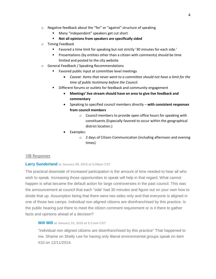- o Negative feedback about the "for" or "against" structure of speaking
	- **Many "independent" speakers get cut short**
	- **Not all opinions from speakers are specifically sided**
- o Timing Feedback
	- Favored a time limit for speaking but not strictly '30 minutes for each side.'
	- **Presentations (by entities other than a citizen with comments) should be time** limited and posted to the city website
- o General Feedback / Speaking Recommendations
	- Favored public input at committee level meetings
		- *Caveat- Items that never went to a committee should not have a limit for the time of public testimony before the Council.*
	- **Different forums or outlets for feedback and community engagement** 
		- **Meetings' live stream should have an area to give live feedback and commentary**
		- Speaking to specified council members directly **with consistent responses from council members** 
			- o Council members to provide open office hours for speaking with constituents (Especially favored to occur within the geographical district location.)
		- Examples:
			- o 2 days of Citizen Communication (including afternoon and evening times)

#### 108 Responses

#### **[Larry Sunderland](http://speakupaustin.org/profile/4e02bd01d7c3210001000001) at January 09, 2015 at 5:09pm CST**

The practical downside of increased participation is the amount of time needed to hear all who wish to speak. Increasing those opportunities to speak will help in that regard. What cannot happen is what became the default action for large controversies in the past council. This was the announcement at council that each "side' had 30 minutes and figure out on your own how to divide that up. Assumption being that there were two sides only and that everyone is aligned in one of those two camps. Individual non aligned citizens are disinfranchised by this practice. Is the public hearing just there to meet the citizen comment requirement or is it there to gather facts and opinions ahead of a decision?

#### **[Will Will](http://speakupaustin.org/profile/4f51da44f8bfb400010000a0) at January 10, 2015 at 5:11am CST**

"individual non aligned citizens are disenfranchised by this practice" That happened to me. Shame on Shelly Lee for having only liberal environmental groups speak on item #10 on 12/11/2014.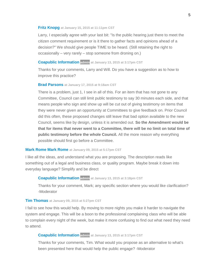#### **[Fritz Knopg](http://speakupaustin.org/profile/54b897176c9d6fe6cd002bb1) at January 15, 2015 at 11:11pm CST**

Larry, I especially agree with your last bit: "Is the public hearing just there to meet the citizen comment requirement or is it there to gather facts and opinions ahead of a decision?" We should give people TIME to be heard. (Still retaining the right to occasionally – very rarely – stop someone from droning on.)

#### **[Coapublic Information](http://speakupaustin.org/profile/4dc971c2b0b8df3aa60002f3) admin at January 13, 2015 at 3:17pm CST**

Thanks for your comments, Larry and Will. Do you have a suggestion as to how to improve this practice?

#### **[Brad Parsons](http://speakupaustin.org/profile/4f275ccc54e3370001000698) at January 17, 2015 at 9:18am CST**

There is a problem, just 1, I see in all of this. For an item that has not gone to any Committee, Council can still limit public testimony to say 30 minutes each side, and that means people who sign and show up will be cut out of giving testimony on items that they were never given an opportunity at Committees to give feedback on. Prior Council did this often, these proposed changes still leave that bad option available to the new Council, seems like by design, unless it is amended out. **So the Amendment would be that for items that never went to a Committee, there will be no limit on total time of public testimony before the whole Council.** All the more reason why everything possible should first go before a Committee.

#### **[Mark Rome Mark Rome](http://speakupaustin.org/profile/532a0c305307fb8e06001210) at January 09, 2015 at 5:17pm CST**

I like all the ideas, and understand what you are proposing. The description reads like something out of a legal and business class, or quality program. Maybe break it down into everyday language? Simplify and be direct

#### **[Coapublic Information](http://speakupaustin.org/profile/4dc971c2b0b8df3aa60002f3) admin at January 13, 2015 at 3:18pm CST**

Thanks for your comment, Mark; any specific section where you would like clarification? -Moderator

#### **[Tim Thomas](http://speakupaustin.org/profile/54b0631c6c9d6f52cb000002) at January 09, 2015 at 5:27pm CST**

I fail to see how this would help. By moving to more nights you make it harder to navigate the system and engage. This will be a boon to the professional complaining class who will be able to complain every night of the week, but make it more confusing to find out what need they need to attend.

#### **[Coapublic Information](http://speakupaustin.org/profile/4dc971c2b0b8df3aa60002f3) admin at January 13, 2015 at 3:17pm CST**

Thanks for your comments, Tim. What would you propose as an alternative to what's been presented here that would help the public engage? -Moderator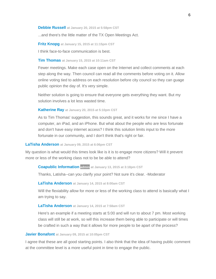#### **[Debbie Russell](http://speakupaustin.org/profile/4dab66c5fd27f06be800042a) at January 20, 2015 at 5:58pm CST**

...and there's the little matter of the TX Open Meetings Act.

**[Fritz Knopg](http://speakupaustin.org/profile/54b897176c9d6fe6cd002bb1) at January 15, 2015 at 11:15pm CST**

I think face-to-face communication is best.

#### **[Tim Thomas](http://speakupaustin.org/profile/4d8cc90e175ca8666900009d) at January 15, 2015 at 10:11am CST**

Fewer meetings. Make each case open on the Internet and collect comments at each step along the way. Then council can read all the comments before voting on it. Allow online voting tied to address on each resolution before city council so they can guage public opinion the day of. It's very simple.

Neither solution is going to ensure that everyone gets everything they want. But my solution involves a lot less wasted time.

#### **[Katherine Ray](http://speakupaustin.org/profile/54bedf946c9d6fb631001248) at January 20, 2015 at 5:10pm CST**

As to Tim Thomas' suggestion, this sounds great, and it works for me since I have a computer, an iPad, and an iPhone. But what about the people who are less fortunate and don't have easy internet access? I think this solution limits input to the more fortunate in our community, and I don't think that's right or fair.

#### **[LaTisha Anderson](http://speakupaustin.org/profile/52f161ef8f49d99adb002613) at January 09, 2015 at 6:06pm CST**

My question is what would this times look like is it is to engage more citizens? Will it prevent more or less of the working class not to be be able to attend?

#### **[Coapublic Information](http://speakupaustin.org/profile/4dc971c2b0b8df3aa60002f3) admin at January 13, 2015 at 3:18pm CST**

Thanks, Latisha--can you clarify your point? Not sure it's clear. -Moderator

#### **[LaTisha Anderson](http://speakupaustin.org/profile/52f161ef8f49d99adb002613) at January 14, 2015 at 8:00am CST**

Will the flexiability allow for more or less of the working class to attend is basically what I am trying to say.

#### **[LaTisha Anderson](http://speakupaustin.org/profile/52f161ef8f49d99adb002613) at January 14, 2015 at 7:58am CST**

Here's an example if a meeting starts at 5:00 and will run to about 7 pm. Most working class will still be at work, so will this increase them being able to participate or will times be crafted in such a way that it allows for more people to be apart of the process?

#### **[Javier Bonafont](http://speakupaustin.org/profile/4d9372133c86c57250000066) at January 09, 2015 at 10:05pm CST**

I agree that these are all good starting points. I also think that the idea of having public comment at the committee level is a more useful point in time to engage the public.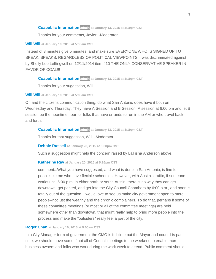#### **[Coapublic Information](http://speakupaustin.org/profile/4dc971c2b0b8df3aa60002f3) admin at January 13, 2015 at 3:19pm CST**

Thanks for your comments, Javier. -Moderator

#### **[Will Will](http://speakupaustin.org/profile/4f51da44f8bfb400010000a0) at January 10, 2015 at 5:06am CST**

Instead of 3 minutes give 5 minutes, and make sure EVERYONE WHO IS SIGNED UP TO SPEAK, SPEAKS, REGARDLESS OF POLITICAL VIEWPOINTS! I was discriminated against by Shelly Lee Leffingwell on 12/11/2014 item #10 THE ONLY CONSERVATIVE SPEAKER IN FAVOR OF COAL!!!

#### **[Coapublic Information](http://speakupaustin.org/profile/4dc971c2b0b8df3aa60002f3) admin at January 13, 2015 at 3:19pm CST**

Thanks for your suggestion, Will.

**[Will Will](http://speakupaustin.org/profile/4f51da44f8bfb400010000a0) at January 10, 2015 at 5:08am CST**

Oh and the citizens communication thing, do what San Antonio does have it both on Wednesday and Thursday. They have A Session and B Session, A session at 6:00 pm and let B session be the noontime hour for folks that have errands to run in the AM or who travel back and forth.

#### **[Coapublic Information](http://speakupaustin.org/profile/4dc971c2b0b8df3aa60002f3) admin at January 13, 2015 at 3:19pm CST**

Thanks for that suggestion, Will. -Moderator

**[Debbie Russell](http://speakupaustin.org/profile/4dab66c5fd27f06be800042a) at January 20, 2015 at 6:00pm CST**

Such a suggestion might help the concern raised by LaTisha Anderson above.

#### **[Katherine Ray](http://speakupaustin.org/profile/54bedf946c9d6fb631001248) at January 20, 2015 at 5:16pm CST**

comment...What you have suggested, and what is done in San Antonio, is fine for people like me who have flexible schedules. However, with Austin's traffic, if someone works until 5:00 p.m. in either north or south Austin, there is no way they can get downtown, get parked, and get into the City Council Chambers by 6:00 p.m., and noon is totally out of the question. I would love to see us make city government open to more people--not just the wealthy and the chronic complainers. To do that, perhaps if some of these committee meetings (or most or all of the committee meetings) are held somewhere other than downtown, that might really help to bring more people into the process and make the "outsiders" really feel a part of the city.

#### **[Roger Chan](http://speakupaustin.org/profile/54b13bce6c9d6f0ea30002e4) at January 10, 2015 at 9:00am CST**

In a City Manager form of government the CMO is full time but the Mayor and council is parttime, we should move some if not all of Council meetings to the weekend to enable more business owners and folks who work during the work week to attend. Public comment should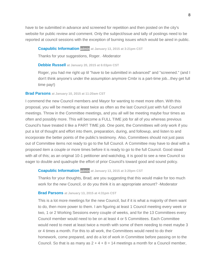have to be submitted in advance and screened for repetition and then posted on the city's website for public review and comment. Only the subject/issue and tally of postings need to be reported at council sessions with the exception of burning issues which would be aired in public.

#### **[Coapublic Information](http://speakupaustin.org/profile/4dc971c2b0b8df3aa60002f3) admin at January 13, 2015 at 3:21pm CST**

Thanks for your suggestions, Roger. -Moderator

#### **[Debbie Russell](http://speakupaustin.org/profile/4dab66c5fd27f06be800042a) at January 20, 2015 at 6:03pm CST**

Roger, you had me right up til "have to be submitted in advanced" and "screened." (and I don't think anyone's under the assumption anymore Cmbr is a part-time job...they get full time pay!)

#### **[Brad Parsons](http://speakupaustin.org/profile/4f275ccc54e3370001000698) at January 10, 2015 at 11:20am CST**

I commend the new Council members and Mayor for wanting to meet more often. With this proposal, you will be meeting at least twice as often as the last Council just with full Council meetings. Throw in the Committee meetings, and you all will be meeting maybe four times as often and possibly more. This will become a FULL TIME job for all of you whereas previous Council's have treated it like a PART TIME job. One point, the Committees will only work if you put a lot of thought and effort into them, preparation, during, and followup, and listen to and incorporate the better points of the public's testimony. Also, Committees should not just pass out of Committee items not ready to go to the full Council. A Committee may have to deal with a proposed item a couple or more times before it is ready to go to the full Council. Good stead with all of this; as an original 10-1 petitioner and watchdog, it is good to see a new Council so eager to double and quadruple the effort of prior Council's toward good and sound policy.

#### **[Coapublic Information](http://speakupaustin.org/profile/4dc971c2b0b8df3aa60002f3) admin at January 13, 2015 at 3:20pm CST**

Thanks for your thoughts, Brad; are you suggesting that this would make for too much work for the new Council, or do you think it is an appropriate amount? -Moderator

#### **[Brad Parsons](http://speakupaustin.org/profile/4f275ccc54e3370001000698) at January 13, 2015 at 4:31pm CST**

This is a lot more meetings for the new Council, but if it is what a majority of them want to do, then more power to them. I am figuring at least 1 Council meeting every week or two, 1 or 2 Working Sessions every couple of weeks, and for the 13 Committees every Council member would need to be on at least 4 or 5 Committees. Each Committee would need to meet at least twice a month with some of them needing to meet maybe 3 or 4 times a month. For this to all work, the Committees would need to do their homework, come prepared, and do a lot of work in Committee before passing on to the Council. So that is as many as  $2 + 4 + 8 = 14$  meetings a month for a Council member,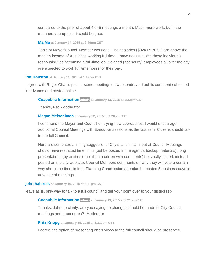compared to the prior of about 4 or 5 meetings a month. Much more work, but if the members are up to it, it could be good.

#### **[Ma Ma](http://speakupaustin.org/profile/5123ee8454fc4c03a20006c7) at January 14, 2015 at 2:46pm CST**

Topic of Mayor/Council Member workload: Their salaries (\$82K+/\$70K+) are above the median income of Austinites working full time. I have no issue with these individuals responsibilities becoming a full-time job. Salaried (not hourly) employees all over the city are expected to work full time hours for their pay.

#### **[Pat Houston](http://speakupaustin.org/profile/532f01095307fb3bdc000542) at January 10, 2015 at 1:19pm CST**

I agree with Roger Chan's post ... some meetings on weekends, and public comment submitted in advance and posted online.

#### **[Coapublic Information](http://speakupaustin.org/profile/4dc971c2b0b8df3aa60002f3) admin at January 13, 2015 at 3:22pm CST**

Thanks, Pat. -Moderator

#### **[Megan Meisenbach](http://speakupaustin.org/profile/54c16604a263bee885002401) at January 22, 2015 at 3:20pm CST**

I commend the Mayor and Council on trying new approaches. I would encourage additional Council Meetings with Executive sessions as the last item. Citizens should talk to the full Council.

Here are some streamlining suggestions: City staff's initial input at Council Meetings should have restricted time limits (but be posted in the agenda backup materials) ,long presentations (by entities other than a citizen with comments) be strictly limited, instead posted on the city web site, Council Members comments on why they will vote a certain way should be time limited, Planning Commission agendas be posted 5 business days in advance of meetings.

#### **[john hafernik](http://speakupaustin.org/profile/545bd9486c9d6fcb65001253) at January 10, 2015 at 3:11pm CST**

leave as is, only way to talk to a full council and get your point over to your district rep

#### **[Coapublic Information](http://speakupaustin.org/profile/4dc971c2b0b8df3aa60002f3) admin at January 13, 2015 at 3:21pm CST**

Thanks, John; to clarify, are you saying no changes should be made to City Council meetings and procedures? -Moderator

#### **[Fritz Knopg](http://speakupaustin.org/profile/54b897176c9d6fe6cd002bb1) at January 15, 2015 at 11:19pm CST**

I agree, the option of presenting one's views to the full council should be preserved.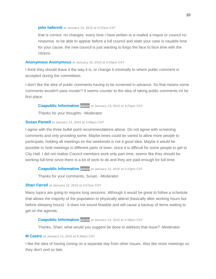#### **[john hafernik](http://speakupaustin.org/profile/545bd9486c9d6fcb65001253) at January 13, 2015 at 3:37pm CST**

that is correct. no changes. every time i have written or e-mailed a mayor or council no response. to be able to appear before a full council and state your case is vauable time for your cause. the new council is just wanting to forgo the face to face time with the citzens.

#### **[Anonymous Anonymous](http://speakupaustin.org/profile/4d9513583e6a97718e000085) at January 10, 2015 at 4:33pm CST**

I think they should leave it the way it is, or change it minimally to where public comment is accepted during the committees.

I don't like the idea of public comments having to be screened in advance. So that means some comments wouldn't pass muster? It seems counter to the idea of taking public comments int he first place.

#### **[Coapublic Information](http://speakupaustin.org/profile/4dc971c2b0b8df3aa60002f3) admin at January 13, 2015 at 3:23pm CST**

Thanks for your thoughts. -Moderator

#### **[Susan Pantell](http://speakupaustin.org/profile/4d9f1c2862c8b478d6000006) at January 12, 2015 at 3:00pm CST**

I agree with the three bullet point recommendations above. Do not agree with screening comments and only providing some. Maybe times could be varied to allow more people to participate; holding all meetings on the weekends is not a good idea. Maybe it would be possible to hold meetings in different parts of town, since it is difficult for some people to get to City Hall. I did not realize Council members work only part-time; seems like they should be working full-time since there is a lot of work to do and they are paid enough for full-time.

#### **[Coapublic Information](http://speakupaustin.org/profile/4dc971c2b0b8df3aa60002f3) admin at January 13, 2015 at 3:23pm CST**

Thanks for your comments, Susan. -Moderator

#### **[Shari Farrell](http://speakupaustin.org/profile/51ffab0b8f49d910f80046c2) at January 12, 2015 at 4:07pm CST**

Many topics are going to require long sessions. Although it would be great to follow a schedule that allows the majority of the population to physically attend (basically after working hours but before sleeping hours) - it does not sound feasible and will cause a backup of items waiting to get on the agenda.

#### **[Coapublic Information](http://speakupaustin.org/profile/4dc971c2b0b8df3aa60002f3) admin at January 13, 2015 at 3:39pm CST**

Thanks, Shari; what would you suggest be done to address that issue? -Moderator

#### **[M Castro](http://speakupaustin.org/profile/54b52d356c9d6fc4db0015b6) at January 13, 2015 at 8:38am CST**

I like the idea of having zoning on a separate day from other issues. Also like more meetings so they don't end so late.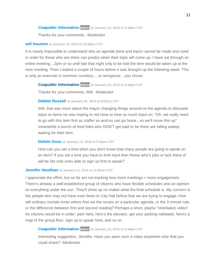#### **[Coapublic Information](http://speakupaustin.org/profile/4dc971c2b0b8df3aa60002f3) admin at January 13, 2015 at 3:39pm CST**

Thanks for your comments. -Moderator

#### **[will houston](http://speakupaustin.org/profile/54b548c3a263be4c23001ab9) at January 13, 2015 at 10:39am CST**

It is nearly impossible to understand why an agenda (time and topic) cannot be made and used in order for those who are there can predict when their topic will come up. I have sat through an entire meeting....2pm or so until late that night only to be told the item would be taken up at the next meeting. Then I waited a couple of hours before it was brought up the following week. This is only an exercise in common courtesy.....or arrogance....you chose.

#### **[Coapublic Information](http://speakupaustin.org/profile/4dc971c2b0b8df3aa60002f3) admin at January 13, 2015 at 3:44pm CST**

Thanks for your comments, Will. -Moderator

#### **[Debbie Russell](http://speakupaustin.org/profile/4dab66c5fd27f06be800042a) at January 20, 2015 at 6:07pm CST**

Will, that was more about the mayor changing things around on the agenda to dissuade input on items he was hoping to not have to hear so much input on. "Oh, we really need to go with this item first so staffer so-and-so can go home...so we'll move this up" meanwhile a bunch of tired folks who DON'T get paid to be there are falling asleep waiting for their item.

#### **[Delwin Goss](http://speakupaustin.org/profile/4d93b3d6589ff5136b00001f) at January 13, 2015 at 3:36pm CST**

How can you set a time when you don't know how many people are going to speak on an item? If you set a time you have to limit input then thoise who's jobs or lack there of will be hte only ones able to sign up first to speak?

#### **[Jennifer Houlihan](http://speakupaustin.org/profile/4f0b5ebf1d699f00010000a1) at January 13, 2015 at 11:00am CST**

I appreciate the effort, but so far am not tracking how more meetings = more engagement. There's already a well-established group of citizens who have flexible schedules and an opinion on everything under the sun. They'll show up no matter what the final schedule is. My concern is the people who may not have even been to City Hall before that we are trying to engage. How will ordinary mortals know where find out the issues on a particular agenda, or the 3 minute rule, or the difference between first and second reading? Perhaps a short, playful "orientation video" for citizens would be in order: park here, here's the elevator, get your parking validated, here's a map of the group floor, sign up to speak here, and so on.

#### **[Coapublic Information](http://speakupaustin.org/profile/4dc971c2b0b8df3aa60002f3) admin at January 13, 2015 at 3:44pm CST**

Interesting suggestion, Jennifer. Have you seen such a video anywhere else that you could share? -Moderator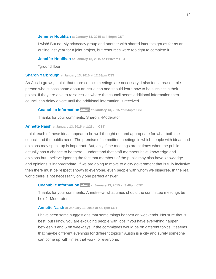#### **[Jennifer Houlihan](http://speakupaustin.org/profile/4f0b5ebf1d699f00010000a1) at January 13, 2015 at 4:50pm CST**

I wish! But no. My advocacy group and another with shared interests got as far as an outline last year for a joint project, but resources were too tight to complete it.

**[Jennifer Houlihan](http://speakupaustin.org/profile/4f0b5ebf1d699f00010000a1) at January 13, 2015 at 11:02am CST**

\*ground floor

#### **[Sharon Yarbrough](http://speakupaustin.org/profile/516447a86a3bd48e31000cc3) at January 13, 2015 at 12:53pm CST**

As Austin grows, I think that more council meetings are necessary. I also feel a reasonable person who is passionate about an issue can and should learn how to be succinct in their points. If they are able to raise issues where the council needs additional information then council can delay a vote until the additional information is received.

**[Coapublic Information](http://speakupaustin.org/profile/4dc971c2b0b8df3aa60002f3) admin at January 13, 2015 at 3:44pm CST**

Thanks for your comments, Sharon. -Moderator

#### **[Annette Naish](http://speakupaustin.org/profile/54b56f136c9d6f30de001558) at January 13, 2015 at 1:23pm CST**

I think each of these ideas appear to be well thought out and appropriate for what both the council and the public need. The premise of committee meetings in which people with ideas and opinions may speak up is important. But, only if the meetings are at times when the public actually has a chance to be there. I understand that staff members have knowledge and opinions but I believe ignoring the fact that members of the public may also have knowledge and opinions is inapprorpriate. If we are going to move to a city government that is fully inclusive then there must be respect shown to everyone, even people with whom we disagree. In the real world there is not necessarily only one perfect answer.

#### **[Coapublic Information](http://speakupaustin.org/profile/4dc971c2b0b8df3aa60002f3) admin at January 13, 2015 at 3:46pm CST**

Thanks for your comments, Annette--at what times should the committee meetings be held? -Moderator

#### **[Annette Naish](http://speakupaustin.org/profile/54b56f136c9d6f30de001558) at January 13, 2015 at 4:01pm CST**

I have seen some suggestions that some things happen on weekends. Not sure that is best, but I know you are excluding people with jobs if you have everything happen between 8 and 5 on weekdays. If the committees would be on different topics, it seems that maybe different evenings for different topics? Austin is a city and surely someone can come up with times that work for everyone.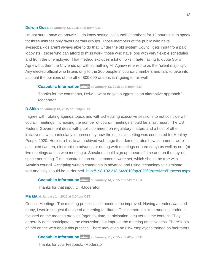#### **[Delwin Goss](http://speakupaustin.org/profile/4d93b3d6589ff5136b00001f) at January 13, 2015 at 3:49pm CST**

I'm not sure I have an answer? I do know setting in Council Chambers for 12 hours just to speak for three minutes only favors certain groups. Those members of the public who have lives/jobs/kids aren't always able to do that. Under the old system Council gets input from paid lobbyists , those who can afford to miss work, those who have jobs with very flexible schedules and from the unemployed. That method excludes a lot of folks. I hate having to quote Spiro Agnew but then the City ends up with something Mr Agnew referred to as the "silent majority". Any elected official who listens only to the 200 people in council chambers and fails to take into account the opinions of the other 800,000 citizens isn't going to fair well

#### **[Coapublic Information](http://speakupaustin.org/profile/4dc971c2b0b8df3aa60002f3) admin at January 13, 2015 at 4:49pm CST**

Thanks for the comments, Delwin; what do you suggest as an alternative approach? - **Moderator** 

#### **[D Sitko](http://speakupaustin.org/profile/5421c0f8e8eb85bc580002d7) at January 13, 2015 at 6:13pm CST**

I agree with rotating agenda topics and with scheduling executive sessions to not coincide with council meetings. Increasing the number of council meetings should be a last resort. The US Federal Government deals with public comment on regulatory matters and a host of other initiatives. I was particularly impressed by how the objective setting was conducted for Healthy People 2020. Here is a link to an archived web page that demonstrates how comments were accepted (written, electronic in advance or during web meetings or hard copy) as well as oral (at live meetings and in web meetings). Speakers could sign up ahead of time and on the day-of, space permitting. Time constraints on oral comments were set, which should be true with Austin's council. Accepting written comments in advance and using technology to culminate, sort and tally should be performed.<http://198.102.218.64/2010/hp2020/Objectives/Process.aspx>

#### **[Coapublic Information](http://speakupaustin.org/profile/4dc971c2b0b8df3aa60002f3) admin at January 14, 2015 at 8:52am CST**

Thanks for that input, D. -Moderator

#### **[Ma Ma](http://speakupaustin.org/profile/5123ee8454fc4c03a20006c7) at January 14, 2015 at 3:04pm CST**

Council Meetings: The meeting process itself needs to be improved. Having attended/watched many, I would suggest the use of a meeting facilitator. This person, unlike a meeting leader, is focused on the meeting process (agenda, time, participation, etc) versus the content. They generally don't participate in the discussion, but improve the meeting effectiveness. There's lots of info on the web about this process. There may even be CoA employees trained as facilitators.

**[Coapublic Information](http://speakupaustin.org/profile/4dc971c2b0b8df3aa60002f3) admin at January 21, 2015 at 2:42pm CST**

Thanks for your feedback. -Moderator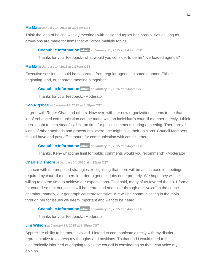#### **[Ma Ma](http://speakupaustin.org/profile/5123ee8454fc4c03a20006c7) at January 14, 2015 at 3:06pm CST**

Think the idea of having weekly meetings with assigned topics has possibilities as long as provisions are made for items that will cross multiple topics.

#### **[Coapublic Information](http://speakupaustin.org/profile/4dc971c2b0b8df3aa60002f3) admin at January 21, 2015 at 2:44pm CST**

Thanks for your feedback--what would you consider to be an "overloaded agenda?"

#### **[Ma Ma](http://speakupaustin.org/profile/5123ee8454fc4c03a20006c7) at January 14, 2015 at 3:17pm CST**

Executive sessions should be separated from regular agenda in some manner. Either beginning, end, or separate meeting altogether.

#### **[Coapublic Information](http://speakupaustin.org/profile/4dc971c2b0b8df3aa60002f3) admin at January 21, 2015 at 2:44pm CST**

Thanks for your feedback. -Moderator

#### **[Ken Rigsbee](http://speakupaustin.org/profile/54b6e6a06c9d6f723e00228a) at January 14, 2015 at 4:08pm CST**

I agree with Roger Chan and others. However, with our new organization, seems to me that a lot of enhanced communication can be made with an individual's council member directly. I think there ought to be a steadfast limit on time for public comments during a meeting. There are all kinds of other methods and procedures where one might give their opinions. Council Members should have and post office hours for communication with constituents.

#### **[Coapublic Information](http://speakupaustin.org/profile/4dc971c2b0b8df3aa60002f3) admin at January 21, 2015 at 2:44pm CST**

Thanks, Ken--what time limit for public comments would you recommend? -Moderator

#### **[Charlie Dismore](http://speakupaustin.org/profile/54b6ecdc6c9d6f49e0002246) at January 14, 2015 at 4:36pm CST**

I concur with the proposed strategies, recognizing that there will be an increase in meetings required by council members in order to get their jobs done properly. We hope they will be willing to do the time to achieve our expectations. That said, many of us favored the 10-1 format for council so that our voices will be heard loud and clear through our "voice" in the council chamber, namely, our geographical representative. We will be communicating in the main through her for issues we deem important and want to be heard.

#### **[Coapublic Information](http://speakupaustin.org/profile/4dc971c2b0b8df3aa60002f3) admin at January 21, 2015 at 2:44pm CST**

Thanks for your feedback. -Moderator

#### **[Jim Wilson](http://speakupaustin.org/profile/54b72ace6c9d6f49e0002351) at January 14, 2015 at 8:55pm CST**

Appreciate ability to be more involved. I intend to communicate directly with my district representative to express my thoughts and positions. To that end I would need to be electronically informed of ongoing topics the council is considering so that I can voice my opinion.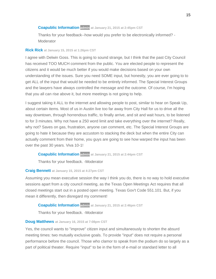#### **[Coapublic Information](http://speakupaustin.org/profile/4dc971c2b0b8df3aa60002f3) admin at January 21, 2015 at 2:45pm CST**

Thanks for your feedback--how would you prefer to be electronically informed? - **Moderator** 

#### **[Rick Rick](http://speakupaustin.org/profile/4ffc6beae22d4a000a0004e0) at January 15, 2015 at 1:26pm CST**

I agree with Delwin Goss. This is going to sound strange, but I think that the past City Council has received TOO MUCH comment from the public. You are elected people to represent the citizens and it would be much better if you would make decisions based on your own understanding of the issues. Sure you need SOME input, but honestly, you are ever going to to get ALL of the input that would be needed to be entirely informed. The Special Interest Groups and the lawyers have always controlled the message and the outcome. Of course, I'm hoping that you all can rise above it, but more meetings is not going to help.

I suggest taking it ALL to the internet and allowing people to post, similar to hear on Speak Up, about certain items. Most of us in Austin live too far away from City Hall for us to drive all the way downtown, through horrendous traffic, to finally arrive, and sit and wait hours, to be listened to for 3 minutes. Why not have a 250 word limit and take everything over the internet? Really, why not? Saves on gas, frustration, anyone can comment, etc. The Special Interest Groups are going to hate it because they are accustom to stacking the deck but when the entire City can actually comment from their home, you guys are going to see how warped the input has been over the past 30 years. Viva 10-1!

#### **[Coapublic Information](http://speakupaustin.org/profile/4dc971c2b0b8df3aa60002f3) admin at January 21, 2015 at 2:44pm CST**

Thanks for your feedback. -Moderator

#### **[Craig Bennett](http://speakupaustin.org/profile/54b83deba263bed665000026) at January 15, 2015 at 4:27pm CST**

Assuming you mean executive session the way I think you do, there is no way to hold executive sessions apart from a city council meeting, as the Texas Open Meetings Act requires that all closed meetings start out in a posted open meeting. Texas Gov't Code 551.101. But, if you mean it differently, then disregard my comment!

#### **[Coapublic Information](http://speakupaustin.org/profile/4dc971c2b0b8df3aa60002f3) admin at January 21, 2015 at 2:46pm CST**

Thanks for your feedback. -Moderator

#### **[Doug Matthews](http://speakupaustin.org/profile/54b9b2e86c9d6f9d730000b1) at January 16, 2015 at 7:08pm CST**

Yes, the council wants to "improve" citizen input and simultaneously to shorten the absurd meeting times: two mutually exclusive goals. To provide "input" does not require a personal performance before the council. Those who clamor to speak from the podium do so largely as a part of political theater. Require "input" to be in the form of e-mail or standard letter to all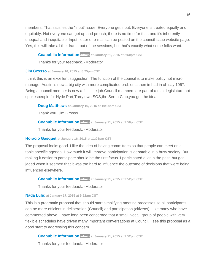members. That satisfies the "input" issue. Everyone get input. Everyone is treated equally and equitably. Not everyone can get up and preach; there is no time for that, and it's inherently unequal and inequitable. Input, letter or e-mail can be posted on the council issue website page. Yes, this will take all the drama out of the sessions, but that's exactly what some folks want.

#### **[Coapublic Information](http://speakupaustin.org/profile/4dc971c2b0b8df3aa60002f3) admin at January 21, 2015 at 2:50pm CST**

Thanks for your feedback. -Moderator

#### **[Jim Grosso](http://speakupaustin.org/profile/54b9c52fa263be2caa0000e5) at January 16, 2015 at 8:25pm CST**

I think this is an excellent suggestion. The function of the council is to make policy,not micro manage. Austin is now a big city with more complicated problems then in had in oh say 1967. Being a council member is now a full time job.Council members are part of a mini-legislature,not spokespeople for Hyde Part,Tarrytown.SOS,the Serria Club,you get the idea.

**[Doug Matthews](http://speakupaustin.org/profile/54b9b2e86c9d6f9d730000b1) at January 16, 2015 at 10:18pm CST**

Thank you, Jim Grosso.

**[Coapublic Information](http://speakupaustin.org/profile/4dc971c2b0b8df3aa60002f3) admin at January 21, 2015 at 2:50pm CST**

Thanks for your feedback. -Moderator

#### **[Horacio Gasquet](http://speakupaustin.org/profile/54ab6416a263be5131002ed5) at January 16, 2015 at 11:05pm CST**

The proposal looks good. I like the idea of having committees so that people can meet on a topic specific agenda. How much it will improve participation is debatable in a busy society. But making it easier to participate should be the first focus. I participated a lot in the past, but got jaded when it seemed that it was too hard to influence the outcome of decisions that were being influenced elsewhere.

#### **[Coapublic Information](http://speakupaustin.org/profile/4dc971c2b0b8df3aa60002f3) admin at January 21, 2015 at 2:52pm CST**

Thanks for your feedback. -Moderator

#### **[Nada Lulic](http://speakupaustin.org/profile/54ba812f6c9d6f672e000234) at January 17, 2015 at 9:52am CST**

This is a pragmatic proposal that should start simplifying meeting processes so all participants can be more efficient in deliberation (Council) and participation (citizens). Like many who have commented above, I have long been concerned that a small, vocal, group of people with very flexible schedules have driven many important conversations at Council. I see this proposal as a good start to addressing this concern.

**[Coapublic Information](http://speakupaustin.org/profile/4dc971c2b0b8df3aa60002f3) admin at January 21, 2015 at 2:52pm CST**

Thanks for your feedback. -Moderator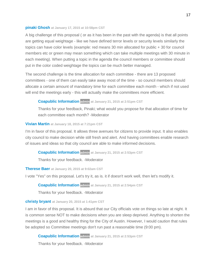#### **[pinaki Ghosh](http://speakupaustin.org/profile/54bb3968a263bef660000333) at January 17, 2015 at 10:58pm CST**

A big challenge of this proposal ( or as it has been in the past with the agenda) is that all points are getting equal weightage - like we have defined terror levels or security levels similarly the topics can have color levels (example: red means 30 min allocated for public + 30 for council members etc or green may mean something which can take multiple meetings with 30 minute in each meeting). When putting a topic in the agenda the council members or committee should put in the color coded weightage the topics can be much better managed.

The second challenge is the time allocation for each committee - there are 13 proposed committees - one of them can easily take away most of the time - so council members should allocate a certain amount of mandatory time for each committee each month - which if not used will end the meetings early - this will actually make the committees more efficient.

#### **[Coapublic Information](http://speakupaustin.org/profile/4dc971c2b0b8df3aa60002f3) admin at January 21, 2015 at 2:51pm CST**

Thanks for your feedback, Pinaki; what would you propose for that allocation of time for each committee each month? -Moderator

#### **[Vivian Martin](http://speakupaustin.org/profile/54bc58aa6c9d6f51c20008e5) at January 18, 2015 at 7:21pm CST**

I'm in favor of this proposal. It allows three avenues for citizens to provide input. It also enables city council to make decision while still fresh and alert. And having committees enable research of issues and ideas so that city council are able to make informed decisions.

#### **[Coapublic Information](http://speakupaustin.org/profile/4dc971c2b0b8df3aa60002f3) admin at January 21, 2015 at 2:53pm CST**

Thanks for your feedback. -Moderator

#### **[Therese Baer](http://speakupaustin.org/profile/54be6d96a263be515f000ea1) at January 20, 2015 at 9:02am CST**

I vote "Yes" on this proposal. Let's try it, as is. it if doesn't work well, then let's modify it.

**[Coapublic Information](http://speakupaustin.org/profile/4dc971c2b0b8df3aa60002f3) admin at January 21, 2015 at 2:54pm CST**

Thanks for your feedback. -Moderator

#### **[christy bryant](http://speakupaustin.org/profile/54beae2d6c9d6f40e900101f) at January 20, 2015 at 1:41pm CST**

I am in favor of this proposal. It is absurd that our City officials vote on things so late at night. It is common sense NOT to make decisions when you are sleep deprived. Anything to shorten the meetings is a good and healthy thing for the City of Austin. However, I would caution that rules be adopted so Committee meetings don't run past a reasonable time (9:00 pm).

#### **[Coapublic Information](http://speakupaustin.org/profile/4dc971c2b0b8df3aa60002f3) admin at January 21, 2015 at 2:53pm CST**

Thanks for your feedback. -Moderator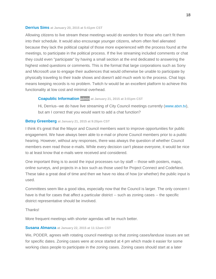#### **[Derrius Sims](http://speakupaustin.org/profile/54bedbffa263be515f001208) at January 20, 2015 at 5:41pm CST**

Allowing citizens to live stream these meetings would do wonders for those who can't fit them into their schedule. It would also encourage younger citizens, whom often feel alienated because they lack the political capital of those more experienced with the process found at the meetings, to participate in the political process. If the live streaming included comments or chat they could even "participate" by having a small section at the end dedicated to answering the highest voted questions or comments. This is the format that large corporations such as Sony and Microsoft use to engage their audiences that would otherwise be unable to participate by physically traveling to their trade shows and doesn't add much work to the process. Chat logs means keeping records is no problem. Twitch tv would be an excellent platform to achieve this functionality at low cost and minimal overhead.

#### **[Coapublic Information](http://speakupaustin.org/profile/4dc971c2b0b8df3aa60002f3) admin at January 21, 2015 at 3:01pm CST**

Hi, Derrius--we do have live streaming of City Council meetings currently [\(www.atxn.tv\)](http://www.atxn.tv/), but am I correct that you would want to add a chat function?

#### **[Betsy Greenberg](http://speakupaustin.org/profile/52ffc6ba9cbeb55d150018f0) at January 21, 2015 at 9:20pm CST**

I think it's great that the Mayor and Council members want to improve opportunities for public engagement. We have always been able to e-mail or phone Council members prior to a public hearing. However, without any responses, there was always the question of whether Council members even read those e-mails. While every decision can't please everyone, it would be nice to at least know that e-mails were received and considered.

One important thing is to avoid the input processes run by staff -- those with posters, maps, online surveys, and projects in a box such as those used for Project Connect and CodeNext. These take a great deal of time and then we have no idea of how (or whether) the public input is used.

Committees seem like a good idea, especially now that the Council is larger. The only concern I have is that for cases that affect a particular district -- such as zoning cases -- the specific district representative should be involved.

#### **Thanks!**

More frequent meetings with shorter agendas will be much better.

#### **[Susana Almanza](http://speakupaustin.org/profile/54c12ce1a263be13bf00032c) at January 22, 2015 at 11:12am CST**

We, PODER, agrees with rotating council meetings so that zoning cases/landuse issues are set for specific dates. Zoning cases were at once started at 4 pm which made it easier for some working class people to participate in the zoning cases. Zoning cases should start at a later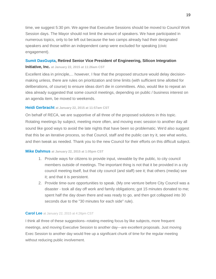time, we suggest 5:30 pm. We agree that Executive Sessions should be moved to Council Work Session days. The Mayor should not limit the amount of speakers. We have participated in numerous topics, only to be left out because the two camps already had their designated speakers and those within an independent camp were excluded for speaking (civic engagement).

#### **[Sumit DasGupta,](http://speakupaustin.org/profile/54c13191a263be13bf000393) Retired Senior Vice President of Engineering, Silicon Integration**

#### **Initiative, Inc. at January 22, 2015 at 11:26am CST**

Excellent idea in principle,... however, I fear that the proposed structure would delay decisionmaking unless, there are rules on prioritization and time limits (with sufficient time allotted for deliberations, of course) to ensure ideas don't die in committees. Also, would like to repeat an idea already suggested that some council meetings, depending on public / business interest on an agenda item, be moved to weekends.

#### **[Heidi Gerbracht](http://speakupaustin.org/profile/54c137ea6c9d6f40e9001f57) at January 22, 2015 at 11:57am CST**

On behalf of RECA, we are supportive of all three of the proposed solutions in this topic. Rotating meetings by subject, meeting more often, and moving exec session to another day all sound like good ways to avoid the late nights that have been so problematic. We'd also suggest that this be an iterative process, so that Council, staff and the public can try it, see what works, and then tweak as needed. Thank you to the new Council for their efforts on this difficult subject.

#### **[Mike Dahmus](http://speakupaustin.org/profile/4d87656affe80072e3000011) at January 22, 2015 at 1:05pm CST**

- 1. Provide ways for citizens to provide input, viewable by the public, to city council members outside of meetings. The important thing is not that it be provided in a city council meeting itself, but that city council (and staff) see it; that others (media) see it; and that it is persistent.
- 2. Provide time-sure opportunities to speak. (My one venture before City Council was a disaster - took all day off work and family obligations; got 15 minutes donated to me; spent half the day down there and was ready to go, and then got collapsed into 30 seconds due to the "30 minutes for each side" rule).

#### **[Carol Lee](https://austintexas.granicusideas.com/profile/54c17787a263be13bf0006d9)** at January 22, 2015 at 4:26pm CST

I think all three of these suggestions--rotating meeting focus by like subjects, more frequent meetings, and moving Executive Session to another day---are excellent proposals. Just moving Exec Session to another day would free up a significant chunk of time for the regular meeting without reducing public involvement.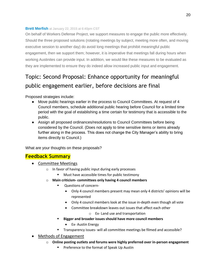#### **[Brett Merfish](https://austintexas.granicusideas.com/profile/54c1961ba263bee885002612)** at January 22, 2015 at 6:40pm CST

On behalf of Workers Defense Project, we support measures to engage the public more effectively. Should the three proposed solutions (rotating meetings by subject, meeting more often, and moving executive session to another day) do avoid long meetings that prohibit meaningful public engagement, then we support them; however, it is imperative that meetings fall during hours when working Austinites can provide input. In addition, we would like these measures to be evaluated as they are implemented to ensure they do indeed allow increased public input and engagement.

# <span id="page-20-0"></span>Topic: Second Proposal: Enhance opportunity for meaningful public engagement earlier, before decisions are final

Proposed strategies include:

- Move public hearings earlier in the process to Council Committees. At request of 4 Council members, schedule additional public hearing before Council for a limited time period with the goal of establishing a time certain for testimony that is accessible to the public.
- Assign all proposed ordinances/resolutions to Council Committees before being considered by the Council. (Does not apply to time sensitive items or items already further along in the process. This does not change the City Manager's ability to bring items directly to Council.)

What are your thoughts on these proposals?

#### **Feedback Summary**

- Committee Meetings
	- o In favor of having public input during early processes
		- Must have accessible times for public testimony
	- o **Main criticism- committees only having 4 council members**
		- Questions of concern-
			- Only 4 council members present may mean only 4 districts' opinions will be represented
			- Only 4 council members look at the issue in-depth even though all vote
			- Committee breakdown leaves out issues that affect each other
				- o Ex- Land use and transportation
		- **Bigger and broader issues should have more council members**
			- Ex- Austin Energy
		- Transparency issues- will all committee meetings be filmed and accessible?
- Methods of Engagement
	- o **Online posting outlets and forums were highly preferred over in-person engagement**
		- **Preference to the format of Speak Up Austin**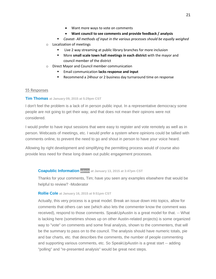- **Want council to see comments and provide feedback / analysis**
- *Caveat- All methods of input in the various processes should be equally weighed*
- o Localization of meetings
	- Live 2 way streaming at public library branches for more inclusion
	- More **small scale town hall meetings in each district** with the mayor and council member of the district
- o Direct Mayor and Council member communication
	- Email communication **lacks response and input**
	- Recommend a 24hour or 2 business day turnaround time on response

#### 55 Responses

#### **[Tim Thomas](http://speakupaustin.org/profile/54b0631c6c9d6f52cb000002) at January 09, 2015 at 5:29pm CST**

I don't feel the problem is a lack of in person public input. In a representative democracy some people are not going to get their way, and that does not mean their opinons were not considered.

I would prefer to have input sessions that were easy to register and vote remotely as well as in person. Webcasts of meetings, etc. I would prefer a system where opinions could be tallied with comments online, to prevent the need to go and shout in person to have your voice heard.

Allowing by right development and simplifying the permitting process would of course also provide less need for these long drawn out public engagement processes.

#### **[Coapublic Information](http://speakupaustin.org/profile/4dc971c2b0b8df3aa60002f3) admin at January 13, 2015 at 3:47pm CST**

Thanks for your comments, Tim; have you seen any examples elsewhere that would be helpful to review? -Moderator

#### **[Rollie Cole](http://speakupaustin.org/profile/516f209f068ea2c62d000b56) at January 16, 2015 at 9:51pm CST**

Actually, this very process is a great model. Break an issue down into topics, allow for comments that others can see (which also lets the commenter know the comment was received), respond to those comments. SpeakUpAustin is a great model for that. -- What is lacking here (sometimes shows up on other Austin-related projects) is some organized way to "vote" on comments and some final analysis, shown to the commenters, that will be the summary to pass on to the council. The analysis should have numeric totals, pie and bar charts, etc. that describes the comments, the number of people commenting and supporting various comments, etc. So SpeakUpAustin is a great start -- adding "polling" and "re-presented analysis" would be great next steps.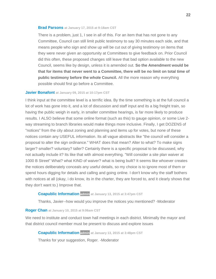#### **[Brad Parsons](http://speakupaustin.org/profile/4f275ccc54e3370001000698) at January 17, 2015 at 9:18am CST**

There is a problem, just 1, I see in all of this. For an item that has not gone to any Committee, Council can still limit public testimony to say 30 minutes each side, and that means people who sign and show up will be cut out of giving testimony on items that they were never given an opportunity at Committees to give feedback on. Prior Council did this often, these proposed changes still leave that bad option available to the new Council, seems like by design, unless it is amended out. **So the Amendment would be that for items that never went to a Committee, there will be no limit on total time of public testimony before the whole Council.** All the more reason why everything possible should first go before a Committee.

#### **[Javier Bonafont](http://speakupaustin.org/profile/4d9372133c86c57250000066) at January 09, 2015 at 10:17pm CST**

I think input at the committee level is a terrific idea. By the time something is at the full council a lot of work has gone into it, and a lot of discussion and staff input and its a big freight train, so having the public weigh in early, in smaller committee hearings, is far more likely to produce results. I ALSO believe that some online format (such as this) to gauge opinion, or some Live 2 way streaming to branch libraries would make things more inclusive. Finally, I get DOZENS of "notices" from the city about zoning and planning and items up for votes, but none of these notices contain any USEFUL information. Its all vague abstracts like "the council will consider a proposal to alter the sign ordinance." WHAT does that mean? Alter to what? To make signs larger? smaller? voluntary? taller? Certainly there is a specific proposal to be discussed, why not actually include it? Its like that with almost everything. "Will consider a site plan waiver at 1000 B Street" What? what KIND of waiver? what is being built? It seems like whoever creates the notices deliberately conceals any useful details, so my choice is to ignore most of them or spend hours digging for details and calling and going online. I don't know why the staff bothers with notices at all (okay, i do know, its in the charter, they are forced to, and it clearly shows that they don't want to.) Improve that.

#### **[Coapublic Information](http://speakupaustin.org/profile/4dc971c2b0b8df3aa60002f3) admin at January 13, 2015 at 3:47pm CST**

Thanks, Javier--how would you improve the notices you mentioned? -Moderator

#### **[Roger Chan](http://speakupaustin.org/profile/54b13bce6c9d6f0ea30002e4) at January 10, 2015 at 9:06am CST**

We need to institute and conduct town hall meetings in each district. Minimally the mayor and that district council member must be present to discuss and explore issues

**[Coapublic Information](http://speakupaustin.org/profile/4dc971c2b0b8df3aa60002f3) admin at January 13, 2015 at 3:48pm CST**

Thanks for your suggestion, Roger. -Moderator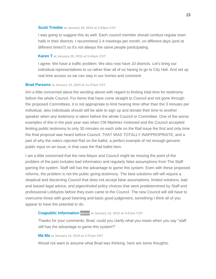#### **[Scott Trimble](http://speakupaustin.org/profile/54beb6c16c9d6f6e060011ea) at January 20, 2015 at 2:25pm CST**

I was going to suggest this as well. Each council member should conduct regular town halls in their districts. I recommend 2-4 meetings per month, on different days (and at different times?) so it's not always the same people participating.

#### **[Karen T](http://speakupaustin.org/profile/54bee74c6c9d6f103d0011f3) at January 20, 2015 at 5:44pm CST**

I agree. We have a traffic problem. We also now have 10 districts. Let's bring our individual representatives to us rather than all of us having to go to City Hall. And set up real time access so we can stay in our homes and comment.

#### **[Brad Parsons](http://speakupaustin.org/profile/4f275ccc54e3370001000698) at January 10, 2015 at 11:37am CST**

Am a little concerned about the wording above with regard to limiting total time for testimony before the whole Council. For Items that have come straight to Council and not gone through the proposed Committees, it is not appropriate to limit hearing time other than the 3 minutes per individual, also individuals should still be able to sign up and donate their time to another speaker when any testimony is taken before the whole Council or Committee. One of the worse examples of this in the past year was when CM Martinez motioned and the Council accepted limiting public testimony to only 30 minutes on each side on the Rail issue the first and only time the final proposal was heard before Council. THAT WAS TOTALLY INAPPROPRIATE, and a part of why the voters rejected Rail on the ballot, a perfect example of not enough genuine public input on an issue, in that case the Rail ballot item.

I am a little concerned that the new Mayor and Council might be missing the point of the problem of the past includes bad information and regularly false assumptions from The Staff gaming the system. Staff still has the advantage to game this system. Even with these proposed reforms, the problem is not the public giving testimony. The best solutions still will require a skeptical and discerning Council that does not accept false assumptions, limited solutions, bad and biased legal advice, and pigeonholed policy choices that were predetermined by Staff and professional Lobbyists before they even came to the Council. The new Council will still have to overcome those with good listening and basic good judgement, something I think all of you appear to have the potential to do.

#### **[Coapublic Information](http://speakupaustin.org/profile/4dc971c2b0b8df3aa60002f3) admin at January 13, 2015 at 3:47pm CST**

Thanks for your comments, Brad; could you clarify what you mean when you say "staff still has the advantage to game this system?"

#### **[Ma Ma](http://speakupaustin.org/profile/5123ee8454fc4c03a20006c7) at January 14, 2015 at 3:37pm CST**

Would not want to assume what Brad was thinking, here are some thoughts.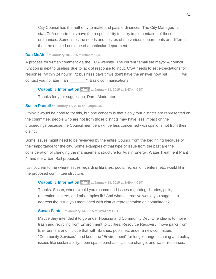City Council has the authority to make and pass ordinances. The City Manager/his staff/CoA departments have the responsibility to carry implementation of these ordinances. Sometimes the needs and desires of the various departments are different than the desired outcome of a particular department.

#### **[Dan McAtee](http://speakupaustin.org/profile/505c612fa3941b000d0000ae) at January 10, 2015 at 5:04pm CST**

A process for written comment via the COA website. The current "email the mayor & council" function is next to useless due to lack of response to input. COA needs to set expectations for response; "within 24 hours"; "2 business days": "we don't have the answer now but \_\_\_\_\_\_ will contact you no later than \_\_\_\_\_\_\_\_". Basic communications

#### **[Coapublic Information](http://speakupaustin.org/profile/4dc971c2b0b8df3aa60002f3) admin at January 13, 2015 at 3:47pm CST**

Thanks for your suggestion, Dan. -Moderator

#### **[Susan Pantell](http://speakupaustin.org/profile/4d9f1c2862c8b478d6000006) at January 12, 2015 at 2:49pm CST**

I think it would be good to try this, but one concern is that if only four districts are represented on the committee, people who are not from those districts may have less impact on the proceedings because the Council members will be less concerned with opinions not from their district.

Some issues might need to be reviewed by the entire Council from the beginning because of their importance for the city. Some examples of that type of issue from the past are the consideration of changing the management structure for Austin Energy, Water Treatment Plant 4, and the Urban Rail proposal.

It's not clear to me where issues regarding libraries, pools, recreation centers, etc. would fit in the proposed committee structure.

#### **[Coapublic Information](http://speakupaustin.org/profile/4dc971c2b0b8df3aa60002f3) admin at January 13, 2015 at 3:49pm CST**

Thanks, Susan; where would you recommend issues regarding libraries, polls, recreation centers, and other topics fit? And what alternative would you suggest to address the issue you mentioned with district representation on committees?

#### **[Susan Pantell](http://speakupaustin.org/profile/4d9f1c2862c8b478d6000006) at January 14, 2015 at 12:41pm CST**

Maybe they intended it to go under Housing and Community Dev. One idea is to move trash and recycling from Environment to Utilities, Resource Recovery; move parks from Environment and include that with libraries, pools, etc under a new committee, "Community Services", and keep the "Environment" for longer-range planning and policy issues like sustainability, open space purchase, climate change, and water resources.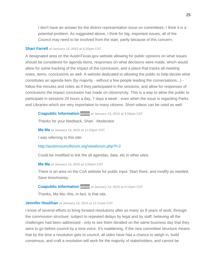I don't have an answer for the district representation issue on committees; I think it is a potential problem. As suggested above, I think for big, important issues, all of the Council may need to be involved from the start, partly because of this concern.

#### **[Shari Farrell](http://speakupaustin.org/profile/51ffab0b8f49d910f80046c2) at January 12, 2015 at 4:20pm CST**

A designated area on the AustinTexas.gov website allowing for public opinions on what issues should be considered for agenda items, responses on what decisions were made; which would allow for some tracking of the impact of the conclusion, and a place that tracks all meeting notes, items, conclusions as well. A website dedicated to allowing the public to help decide what constitutes an agenda item (by majority - without a few people leading the conversations...) follow the minutes and notes as if they participated in the sessions, and allow for responses of conclusions the impact conclusion has made on citizens/city. This is a way to allow the public to participate in sessions 24 hours a day, 7 days a week - even when the issue is regarding Parks and Libraries which are very importation to many citizens. Short videos can be used as well.

**[Coapublic Information](http://speakupaustin.org/profile/4dc971c2b0b8df3aa60002f3) admin at January 13, 2015 at 3:50pm CST**

Thanks for your feedback, Shari. -Moderator

**[Ma Ma](http://speakupaustin.org/profile/5123ee8454fc4c03a20006c7) at January 14, 2015 at 11:23pm CST**

I was referring to this site:

<http://austincouncilforum.org/viewforum.php?f=2>

Could be modified to link the all agendas, data, etc in other sites.

**[Ma Ma](http://speakupaustin.org/profile/5123ee8454fc4c03a20006c7) at January 14, 2015 at 3:55pm CST**

There is an area on the CoA website for public input. Start there, and modify as needed. Save time/money.

**[Coapublic Information](http://speakupaustin.org/profile/4dc971c2b0b8df3aa60002f3) admin at January 14, 2015 at 4:12pm CST**

Thanks, Ma Ma--this, in fact, is that site.

#### **[Jennifer Houlihan](http://speakupaustin.org/profile/4f0b5ebf1d699f00010000a1) at January 13, 2015 at 11:11am CST**

I know of several efforts to bring forward resolutions after as many as 8 years of work, through the commission structure, subject to repeated delays by legal and by staff, believing all the challenges had been addressed - only to see them derailed on the same business day that they were to go before council by a lone voice. It's maddening. If the new committee structure means that by the time a resolution gets to council, all sides have had a chance to weigh in, build consensus, and craft a resolution will work for the majority of stakeholders, and cannot be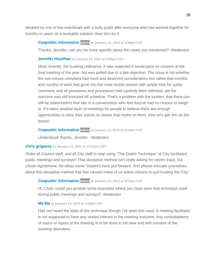derailed by one of two individuals with a bully pulpit after everyone else has worked together for months or years on a workable solution, then let's try it.

#### **[Coapublic Information](http://speakupaustin.org/profile/4dc971c2b0b8df3aa60002f3) admin at January 13, 2015 at 3:50pm CST**

Thanks, Jennifer; can you be more specific about the cases you mentioned? -Moderator

#### **[Jennifer Houlihan](http://speakupaustin.org/profile/4f0b5ebf1d699f00010000a1) at January 13, 2015 at 4:59pm CST**

Most recently, the busking ordinance. It was expected it would pass on consent at the final meeting of the year, but was pulled due to a late objection. The issue is not whether the last-minute complaint had merit and deserved consideration; but rather that months and months of work had gone into the most recent version with ample time for public comment, and all processes and procedures had carefully been followed, yet the outcome was still knocked off schedule. That's a problem with the system, that there can still be stakeholders that late in a conversation who feel they've had no chance to weigh in. If it takes another layer of meetings for people to believe there are enough opportunities to raise their voices on issues that matter to them, then let's get 'em on the books!

#### **[Coapublic Information](http://speakupaustin.org/profile/4dc971c2b0b8df3aa60002f3) admin at January 14, 2015 at 8:54am CST**

Understood; thanks, Jennifer. -Moderator

#### **[chris grigassy](http://speakupaustin.org/profile/52822a96cdff68c3920050e0) at January 13, 2015 at 12:31pm CST**

Order all Council staff, and all City staff to stop using "The Delphi Technique" at City facilitated public meetings and surveys!! That deceptive method isn't really asking for citizen Input, but citizen Agreement--for ideas some "expert/s have put forward. And please educate yourselves about this deceptive method that has caused many of us active citizens to quit trusting the City!

#### **[Coapublic Information](http://speakupaustin.org/profile/4dc971c2b0b8df3aa60002f3) admin at January 13, 2015 at 3:51pm CST**

Hi, Chris--could you provide some examples where you have seen that technique used during public meetings and surveys? -Moderator

#### **[Ma Ma](http://speakupaustin.org/profile/5123ee8454fc4c03a20006c7) at January 14, 2015 at 4:03pm CST**

Had not heard the label of this technique though I've seen this used. A meeting facilitator is not supposed to have any vested interest in the meeting outcome. Any consolidations of topics or inputs of the meeting is to be done in full view and with consent of the meeting attendees.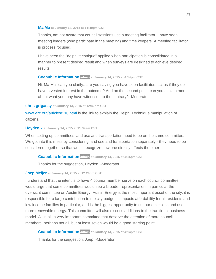**[Ma Ma](http://speakupaustin.org/profile/5123ee8454fc4c03a20006c7) at January 14, 2015 at 11:40pm CST**

Thanks, am not aware that council sessions use a meeting facilitator. I have seen meeting leaders (who participate in the meeting) and time keepers. A meeting facilitator is process focused.

I have seen the "delphi technique" applied when participation is consolidated in a manner to present desired result and when surveys are designed to achieve desired results.

#### **[Coapublic Information](http://speakupaustin.org/profile/4dc971c2b0b8df3aa60002f3) admin at January 14, 2015 at 4:14pm CST**

Hi, Ma Ma--can you clarify...are you saying you have seen facilitators act as if they do have a vested interest in the outcome? And on the second point, can you explain more about what you may have witnessed to the contrary? -Moderator

#### **[chris grigassy](http://speakupaustin.org/profile/52822a96cdff68c3920050e0) at January 13, 2015 at 12:42pm CST**

[www.vlrc.org/articles/110.html](http://www.vlrc.org/articles/110.html) is the link to explain the Delphi Technique manipulation of citizens.

#### **[Heyden x](http://speakupaustin.org/profile/515f0dfda34041b647000a05) at January 14, 2015 at 11:39am CST**

When setting up committees land use and transportation need to be on the same committee. We got into this mess by considering land use and transportation separately - they need to be considered together so that we all recognize how one directly affects the other.

#### **[Coapublic Information](http://speakupaustin.org/profile/4dc971c2b0b8df3aa60002f3) admin at January 14, 2015 at 4:15pm CST**

Thanks for the suggestion, Heyden. -Moderator

#### **[Joep Meijer](http://speakupaustin.org/profile/54b6b36ba263be4c23002405) at January 14, 2015 at 12:24pm CST**

I understand that the intent is to have 4 council member serve on each council committee. I would urge that some committees would see a broader representation, in particular the oversicht committee on Austin Energy. Austin Energy is the most important asset of the city, it is responsible for a large contribution to the city budget, it impacts affordability for all residents and low income families in particular, and is the biggest opportunity to cut our emissions and use more renewable energy. This committee will also discuss additions to the traditional business model. All in all, a very important committee that deserve the attention of more council members, perhaps not all, but at least seven would be a good starting point.

**[Coapublic Information](http://speakupaustin.org/profile/4dc971c2b0b8df3aa60002f3) admin at January 14, 2015 at 4:14pm CST**

Thanks for the suggestion, Joep. -Moderator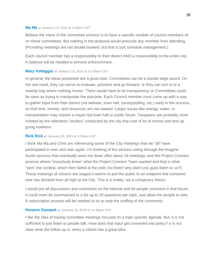#### **[Ma Ma](http://speakupaustin.org/profile/5123ee8454fc4c03a20006c7) at January 14, 2015 at 4:15pm CST**

Believe the intent of the committee process is to have a specific number of council members sit on these committees. But nothing in the proposal would preclude any member from attending. (Providing meetings are not double booked, but that is just schedule management.)

Each council member has a responsibility to their district AND a responsibility to the entire city. A balance will be needed to prevent entrenchment.

#### **[Mary Voltaggio](http://speakupaustin.org/profile/54b7ec176c9d6f49e0002614) at January 15, 2015 at 11:52am CST**

In general, the ideas presented are a good start. Committees can be a double edge sword: On the one hand, they can serve to evaluate, prioritize and go forward, or they can turn in to a swamp bog where nothing moves. There would have to be transparency or Committees could be seen as trying to manipulate the outcome. Each Council member must come up with a way to gather input from their district (via website, town hall, survey/polling, etc.) early in the process, so that time, money, and resources are not wasted. Larger issues like energy, water, or transportation may require a mayor-led town hall or public forum. Taxpayers are probably more irritated by the relentless "studies" conducted by the city that cost of lot of money and end up going nowhere.

#### **[Rick Rick](http://speakupaustin.org/profile/4ffc6beae22d4a000a0004e0) at January 15, 2015 at 1:50pm CST**

I think Ma Ma and Chris are referencing some of the City meetings that we "all" have participated in over and over again. I'm thinking of the stickers voting through the Imagine Austin process that eventually wore me down after about 18 meetings, and the Project Connect process where "everybody knew" what the Project Connect Team wanted and that is what "won" the contest, which then failed at the polls (so there! why didn't you guys listen to us?). These meetings of citizens are staged it seems to pull the public to an endpoint that someone else has dictated from all high at the City. This is a reality; not a conspiracy theory.

I would put all discussions and comments on the internet and let people comment in that forum. It could even be summarized to a list up to 20 questions per topic, and allow the people to vote. A subscription process will be needed to try to stop the stuffing of the comments.

#### **[Horacio Gasquet](http://speakupaustin.org/profile/54ab6416a263be5131002ed5) at January 16, 2015 at 11:08pm CST**

I like the idea of having committee meetings focused on a topic specific agenda. But, it is not sufficient to just listen to people talk. How does that input get converted into policy? It is not clear what the follow up is, when a citizen has a great idea.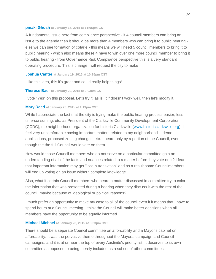#### **[pinaki Ghosh](http://speakupaustin.org/profile/54bb3968a263bef660000333) at January 17, 2015 at 11:06pm CST**

A fundamental issue here from compliance perspective - if 4 council members can bring an issue to the agenda then it should be more than 4 members who can bring it to public hearing else we can see formation of cotarie - this means we will need 5 council members to bring it to public hearing - which also means these 4 have to win over one more council member to bring it to public hearing - from Governance Risk Compliance perspective this is a very standard operating procedure. This is change I will request the city to make

#### **[Joshua Canter](http://speakupaustin.org/profile/54bdd7706c9d6f08c0000a4b) at January 19, 2015 at 10:25pm CST**

I like this idea, this it's great and could really help things!

#### **[Therese Baer](http://speakupaustin.org/profile/54be6d96a263be515f000ea1) at January 20, 2015 at 9:03am CST**

I vote "Yes" on this proposal. Let's try it, as is. it if doesn't work well, then let's modify it.

#### **[Mary Reed](http://speakupaustin.org/profile/54bea85f6c9d6f6e060010ff) at January 20, 2015 at 1:13pm CST**

While I appreciate the fact that the city is trying make the public hearing process easier, less time-consuming, etc. as President of the Clarksville Community Development Corporation (CCDC), the neighborhood organization for historic Clarksville [\(www.historicclarksville.org\)](http://www.historicclarksville.org/), I feel very uncomfortable having important matters related to my neighborhood -- demo applications, proposed zoning changes, etc.-- heard only by a portion of the Council, even though the the full Council would vote on them.

How would those Council members who do not serve on a particular committee gain an understanding of all of the facts and nuances related to a matter before they vote on it? I fear that important information may get "lost in translation" and as a result some Councilmembers will end up voting on an issue without complete knowledge.

Also, what if certain Council members who heard a matter discussed in committee try to color the information that was presented during a hearing when they discuss it with the rest of the council, maybe because of ideological or political reasons?

I much prefer an opportunity to make my case to all of the council even it it means that I have to spend hours at a Council meeting. I think the Council will make better decisions when all members have the opportunity to be equally informed.

#### **[Michael Michael](http://speakupaustin.org/profile/4f4e40e96579c700010002e5) at January 20, 2015 at 3:33pm CST**

There should be a separate Council committee on affordability and a Mayor's cabinet on affordability. It was the pervasive theme throughout the Mayoral campaign and Council campaigns, and it is at or near the top of every Austinite's priority list. It deserves to its own committee as opposed to being merely included as a subset of other committees.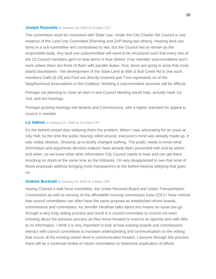#### **[Joseph Reynolds](http://speakupaustin.org/profile/54bed8286c9d6f6e060012d1) at January 20, 2015 at 4:52pm CST**

The committees must be consistent with State Law. Under the City Charter the Council is one instance of the Land Use Committee [Planning and ZAP being two others]. Hearing land use items in a sub-committee isn't constrained by law, but the Council has to remain as the responsible body. Any land-use subcommittee will need to be structured such that every one of the 10 Council members get's to hear items in their district. Four member subcommittees won't work unless there are three of them with parallel duties. And, items are going to arise that cross district boundaries - the development of the State Land at 45th & Bull Creek Rd is one such, members Gallo [d-10] and Pool are directly involved and Tovo represents on of the Neighborhood Associations in the Coalition. Working a subcommittee structure will be difficult.

Perhaps not planning to close an item in one Council Meeting would help, actually have 1st, 2nd, and 3rd hearings.

Perhaps pushing hearings into Boards and Commissions, with a higher standard for appeal to council is needed.

#### **[Liz Haltom](http://speakupaustin.org/profile/54bfe0f76c9d6f323c0017f0) at January 21, 2015 at 11:31am CST**

It's the behind closed door lobbying that's the problem. When I was advocating for an issue at City Hall, by the time the public hearing rolled around, everyone's mind was already made up. It was visibly obvious. Showing up to testify changed nothing. The public needs to know what information and arguments decision-makers have already been presented with and by whom and when, so we know what other information City Council needs to hear and can get there knocking on doors at the same time as the lobbyists. I'm very disappointed to see that none of these proposals address bringing more transparency to the before-hearing lobbying that goes on.

#### **[Andrew Bucknall](http://speakupaustin.org/profile/54c01942a263be182f00096e) at January 21, 2015 at 3:45pm CST**

Having Chaired a task force committee, the Urban Renewal Board and Urban Transportation Commission as well as serving on the affordable housing commission (now CDC) I have noticed that council committees can often have the same purpose as established citizen boards, commissions and committees. As Jennifer Houlihan talks about this means an issue can go through a very long vetting process and result in a council committee or council not even knowing about the previous process as they move forward or react to an agenda item with little to no information. I think it is very important to look at how existing boards and commissions interact with council committees to increase understanding and communication so the vetting that occurs at the existing citizen level is communicated forward. I assume through this process there will be a continual review of citizen committees to determine duplication of efforts,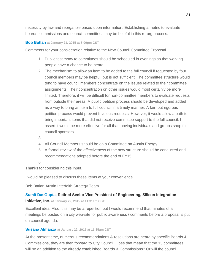necessity by law and reorganize based upon information. Establishing a metric to evaluate boards, commissions and council committees may be helpful in this re-org process.

#### **[Bob Batlan](http://speakupaustin.org/profile/54c058bea263be182f000b5e) at January 21, 2015 at 8:00pm CST**

Comments for your consideration relative to the New Council Committee Proposal.

- 1. Public testimony to committees should be scheduled in evenings so that working people have a chance to be heard.
- 2. The mechanism to allow an item to be added to the full council if requested by four council members may be helpful, but is not sufficient. The committee structure would tend to have council members concentrate on the issues related to their committee assignments. Their concentration on other issues would most certainly be more limited. Therefore, it will be difficult for non-committee members to evaluate requests from outside their areas. A public petition process should be developed and added as a way to bring an item to full council in a timely manner. A fair, but rigorous petition process would prevent frivolous requests. However, it would allow a path to bring important items that did not receive committee support to the full council. I assert it would be more effective for all than having individuals and groups shop for council sponsors.
- 3.
- 4. All Council Members should be on a Committee on Austin Energy.
- 5. A formal review of the effectiveness of the new structure should be conducted and recommendations adopted before the end of FY15.
- 6.

Thanks for considering this input.

I would be pleased to discuss these items at your convenience.

Bob Batlan Austin Interfaith Strategy Team

#### **[Sumit DasGupta,](http://speakupaustin.org/profile/54c13191a263be13bf000393) Retired Senior Vice President of Engineering, Silicon Integration**

**Initiative, Inc. at January 22, 2015 at 11:31am CST**

Excellent idea. Also, this may be a repetition but I would recommend that minutes of all meetings be posted on a city web-site for public awareness / comments before a proposal is put on council agenda.

#### **[Susana Almanza](http://speakupaustin.org/profile/54c12ce1a263be13bf00032c) at January 22, 2015 at 11:35am CST**

At the present time, numerous recommendations & resolutions are heard by specific Boards & Commissions, they are then forward to City Council. Does that mean that the 13 committees, will be an addition to the already established Boards & Commissions? Or will the council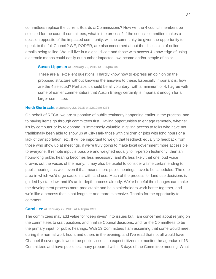committees replace the current Boards & Commissions? How will the 4 council members be selected for the council committees, what is the process? If the council committee makes a decision opposite of the impacted community, will the community be given the opportunity to speak to the full Council? WE, PODER, are also concerned about the discussion of online emails being tallied. We still live in a digital divide and those with access & knowledge of using electronic means could easily out number impacted low-income and/or people of color.

#### **[Susan Lippman](http://speakupaustin.org/profile/54c15f1e6c9d6f103d002087) at January 22, 2015 at 3:26pm CST**

These are all excellent questions. I hardly know how to express an opinion on the proposed structure without knowing the answers to these. Especially important is: how are the 4 selected? Perhaps it should be all voluntary, with a minimum of 4. I agree with some of earlier commentators that Austin Energy certainly is important enough for a larger committee.

#### **[Heidi Gerbracht](http://speakupaustin.org/profile/54c137ea6c9d6f40e9001f57) at January 22, 2015 at 12:19pm CST**

On behalf of RECA, we are supportive of public testimony happening earlier in the process, and to having items go through committees first. Having opportunities to engage remotely, whether it's by computer or by telephone, is immensely valuable in giving access to folks who have not traditionally been able to show up at City Hall- those with children or jobs with long hours or a lack of transportation, etc. It will be important to weigh that feedback equally to feedback from those who show up at meetings, if we're truly going to make local government more accessible to everyone. If remote input is possible and weighed equally to in-person testimony, then an hours-long public hearing becomes less necessary, and it's less likely that one loud voice drowns out the voices of the many. It may also be useful to consider a time certain ending to public hearings as well, even if that means more public hearings have to be scheduled. The one area in which we'd urge caution is with land use. Much of the process for land use decisions is guided by state law, and it's an in-depth process already. We're hopeful the changes can make the development process more predictable and help stakeholders work better together, and we'd like a process that is not lengthier and more expensive. Thanks for the opportunity to comment.

#### **[Carol Lee](http://speakupaustin.org/profile/54c17787a263be13bf0006d9) at January 22, 2015 at 4:46pm CST**

The committees may add value for "deep dives" into issues but I am concerned about relying on the committees to craft positions and finalize Council decisions, and for the Committees to be the primary input for public hearings. With 13 Committees I am assuming that some would meet during the normal work hours and others in the evening, and I've read that not all would have Channel 6 coverage. It would be public-viscous to expect citizens to monitor the agendas of 13 Committees and have public testimony prepared within 3 days of the Committee meeting. What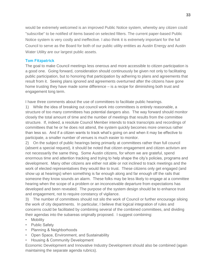would be extremely welcomed is an improved Public Notice system, whereby any citizen could "subscribe" to be notified of items based on selected filters. The current paper-based Public Notice system is very costly and ineffective. I also think it is extremely important for the full Council to serve as the Board for both of our public utility entities as Austin Energy and Austin Water Utility are our largest public assets.

#### **Tom Fitzpatrick**

The goal to make Council meetings less onerous and more accessible to citizen participation is a good one. Going forward, consideration should continuously be given not only to facilitating public participation, but to honoring that participation by adhering to plans and agreements that result from it. Seeing plans ignored and agreements overturned after the citizens have gone home trusting they have made some difference – is a recipe for diminishing both trust and engagement long term.

I have three comments about the use of committees to facilitate public hearings.

1) While the idea of breaking out council work into committees is entirely reasonable, a structure of too many committees has potential dangers also. The way forward should monitor closely the total amount of time and the number of meetings that results from the committee structure. If, indeed, a resolute Council Member intends to track transcripts and recordings of committees that he or he does not attend, the system quickly becomes more onerous rather than less so. And if a citizen wants to track what's going on and when it may be effective to participate, a smaller number of venues is much easier to monitor.

2) On the subject of public hearings being primarily at committees rather than full council (absent a special request), it should be noted that citizen engagement and citizen activism are not necessarily the same thing. Some Austin citizens, for whom we are grateful, spend enormous time and attention tracking and trying to help shape the city's policies, programs and development. Many other citizens are either not able or not inclined to track meetings and the work of elected representatives they would like to trust. These citizens only get engaged (and show up at hearings) when something is far enough along and far enough off the rails that someone they know sounds an alarm. These folks may be less likely to engage at a committee hearing when the scope of a problem or an inconceivable departure from expectations has developed and been revealed. The purpose of the system design should be to enhance trust and engagement, not to require constancy of vigilance.

3) The number of committees should not silo the work of Council or further encourage siloing the work of city departments. In particular, I believe that logical integration of rules and concerns could be facilitated by combining several of the combined committees, and dividing their agendas into the subareas originally proposed. I suggest combining:

- Mobility
- Public Safety
- Planning & Neighborhoods
- Open Space, Environment, and Sustainability
- Housing & Community Development

Economic Development and Innovative Industry Development should also be combined (again maintaining the separate agenda rubrics).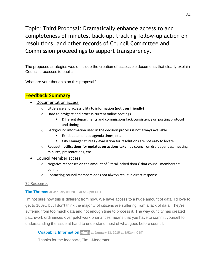<span id="page-34-0"></span>Topic: Third Proposal: Dramatically enhance access to and completeness of minutes, back-up, tracking follow-up action on resolutions, and other records of Council Committee and Commission proceedings to support transparency.

The proposed strategies would include the creation of accessible documents that clearly explain Council processes to public.

What are your thoughts on this proposal?

### **Feedback Summary**

- Documentation access
	- o Little ease and accessibility to information **(not user friendly)**
	- o Hard to navigate and process current online postings
		- **EXECTE FIGHT Different departments and commissions lack consistency** on posting protocol and timing
	- $\circ$  Background information used in the decision process is not always available
		- **Ex- data, amended agenda times, etc.**
		- City Manager studies / evaluation for resolutions are not easy to locate.
	- o Request **notifications for updates on actions taken** by council on draft agendas, meeting minutes, presentations, etc.
- Council Member access
	- o Negative responses on the amount of 'literal locked doors' that council members sit behind
	- o Contacting council members does not always result in direct response

#### 25 Responses

#### **[Tim Thomas](http://speakupaustin.org/profile/54b0631c6c9d6f52cb000002) at January 09, 2015 at 5:32pm CST**

I'm not sure how this is different from now. We have access to a huge amount of data. I'd love to get to 100%, but I don't think the majority of citizens are suffering from a lack of data. They're suffering from too much data and not enough time to process it. The way our city has created patchwork ordinances over patchwork ordinances means that you have to commit yourself to understanding the issue at hand to understand most of what goes before council.

**[Coapublic Information](http://speakupaustin.org/profile/4dc971c2b0b8df3aa60002f3) admin at January 13, 2015 at 3:52pm CST**

Thanks for the feedback, Tim. -Moderator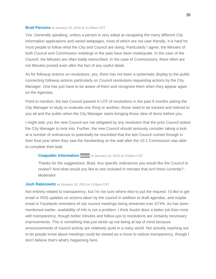#### **[Brad Parsons](http://speakupaustin.org/profile/4f275ccc54e3370001000698) at January 10, 2015 at 11:55am CST**

Yes. Generally speaking, unless a person is very adept at navigating the many different City information applications and varied webpages, most of which are not user friendly, it is hard for most people to follow what the City and Council are doing. Particularly I agree, the Minutes of both Council and Commission meetings in the past have been inadequate. In the case of the Council, the Minutes are often badly transcribed. In the case of Commissions, there often are not Minutes posted even after the fact of any useful detail.

As for followup actions on resolutions, yes, there has not been a systematic display to the public connecting followup actions particularly on Council resolutions requesting actions by the City Manager. One has just have to be aware of them and recognize them when they appear again on the Agendas.

Point to mention, the last Council passed A LOT of resolutions in the past 6 months asking the City Manager to study or evaluate one thing or another, those need to be tracked and noticed to you all and the public when the City Manager starts bringing those slew of items before you.

I might add, you the new Council are not obligated by any resolution that the prior Council asked the City Manager to look into. Further, the new Council should seriously consider taking a look at a number of ordinances to potentially be rescinded that the last Council rushed through in their final year when they saw the handwriting on the wall after the 10-1 Commission was able to complete their task.

#### **[Coapublic Information](http://speakupaustin.org/profile/4dc971c2b0b8df3aa60002f3) admin at January 13, 2015 at 3:54pm CST**

Thanks for the suggestions, Brad. Any specific ordinances you would like the Council to review? And what would you like to see included in minutes that isn't there currently? - Moderator

#### **[Josh Rabinowitz](http://speakupaustin.org/profile/5266ea1a8f49d9bbc200568f) at January 10, 2015 at 1:53pm CST**

Not entirely related to transparency, but I'm not sure where else to put the request: I'd like to get email or RSS updates on actions taken by the council in addition to draft agendas, and maybe email or Facebook reminders of city council meetings being streamed over ATXN. As has been mentioned earlier, availability of info is not a problem. I think Austin does a better job than most with transparency, though better minutes and follow-ups to resolutions are certainly necessary improvements. This is something that just winds up not being at top of mind because announcements of council activity are relatively quiet in a noisy world. Not actively reaching out to let people know about meetings could be viewed as a move to reduce transparency, though I don't believe that's what's happening here.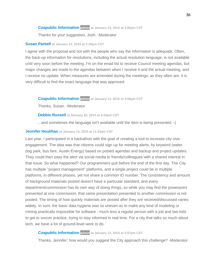#### **[Coapublic Information](http://speakupaustin.org/profile/4dc971c2b0b8df3aa60002f3) admin at January 13, 2015 at 3:56pm CST**

Thanks for your suggestion, Josh. -Moderator

#### **[Susan Pantell](http://speakupaustin.org/profile/4d9f1c2862c8b478d6000006) at January 12, 2015 at 2:30pm CST**

I agree with the proposal and not with the people who say the information is adequate. Often, the back-up information for resolutions, including the actual resolution language, is not available until very soon before the meeting. I'm on the email list to receive Council meeting agendas, but major changes are made to the agendas between when I receive it and the actual meeting, and I receive no update. When measures are amended during the meetings, as they often are, it is very difficult to find the exact language that was approved.

**[Coapublic Information](http://speakupaustin.org/profile/4dc971c2b0b8df3aa60002f3) admin at January 13, 2015 at 3:56pm CST**

Thanks, Susan. -Moderator

**[Debbie Russell](http://speakupaustin.org/profile/4dab66c5fd27f06be800042a) at January 20, 2015 at 5:50pm CST**

...and sometimes the language isn't available until the item is being presented :-(

#### **[Jennifer Houlihan](http://speakupaustin.org/profile/4f0b5ebf1d699f00010000a1) at January 13, 2015 at 11:23am CST**

Last year, I participated in a hackathon with the goal of creating a tool to increase city civic engagement. The idea was that citizens could sign up for meeting alerts, by keyword (water, dog park, bus fare, Austin Energy) based on posted agendas and backup and project updates. They could then pass the alert via social media to friends/colleagues with a shared interest in that issue. So what happened? Our programmers quit before the end of the first day. The City has multiple "project management" platforms, and a single project could be in multiple platforms, in different phases, yet not share a common ID number. The consistency and amount of background materials posted doesn't have a particular standard, and every department/commission has its own way of doing things, so while you may find the powerpoint presented at one commission, that same presentation presented to another commission is not posted. The timing of how quickly materials are posted after they are received/discussed varies widely. In sum, the basic data hygiene was so uneven as to make any kind of modeling or mining practically impossible for software - much less a regular person with a job and two kids to get to soccer practice, trying to stay informed in real time. For a city that talks so much about tech, we have a lot of ground-level work to do.

#### **[Coapublic Information](http://speakupaustin.org/profile/4dc971c2b0b8df3aa60002f3) admin at January 13, 2015 at 3:57pm CST**

Thanks, Jennifer; how would you suggest the City approach this challenge? -Moderator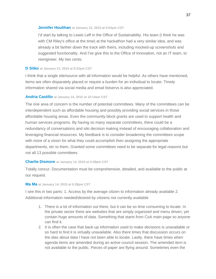#### **[Jennifer Houlihan](http://speakupaustin.org/profile/4f0b5ebf1d699f00010000a1) at January 13, 2015 at 5:04pm CST**

I'd start by talking to Lewis Leff in the Office of Sustainability. His team (I think he was with CM Riley's office at the time) at the hackathon had a very similar idea, and was already a bit farther down the track with theirs, including mocked-up screenshots and suggested functionality. And I've give this to the Office of Innovation, not an IT team, to reengineer. My two cents.

#### **[D Sitko](http://speakupaustin.org/profile/5421c0f8e8eb85bc580002d7) at January 13, 2015 at 6:22pm CST**

I think that a single site/source with all information would be helpful. As others have mentioned, items are often disparately placed or require a burden for an individual to locate. Timely information shared via social media and email listservs is also appreciated.

#### **[Andria Castillo](http://speakupaustin.org/profile/54b69376a263bee2cd001fde) at January 14, 2015 at 10:14am CST**

The one area of concern is the number of potential committees. Many of the committees can be interdependent such as affordable housing and possibly providing social services in those affordable housing areas. Even the community block grants are used to support health and human services programs. By having so many separate committees, there could be a redundancy of conversations and silo decision making instead of encouraging collaboration and leveraging financial resources. My feedback is to consider broadening the committees scope with more of a vision for what they could accomplish then assigning the appropriate departments, etc to them. Granted some committees need to be separate for legal reasons but not all 13 possible committees.

#### **[Charlie Dismore](http://speakupaustin.org/profile/54b6ecdc6c9d6f49e0002246) at January 14, 2015 at 4:39pm CST**

Totally concur. Documentation must be comprehensive, detailed, and available to the public at our request.

#### **[Ma Ma](http://speakupaustin.org/profile/5123ee8454fc4c03a20006c7) at January 14, 2015 at 5:28pm CST**

I see this in two parts: 1. Access by the average citizen to information already available 2. Additional information needed/desired by citizens not currently available

- 1. There is a lot of information out there, but it can be so time consuming to locate. In the private sector there are websites that are simply organized and menu driven, yet contain huge amounts of data. Something that starts from CoA main page so anyone can find it.
- 2. It is often the case that back-up information used to make decisions is unavailable or so hard to find it is virtually unavailable. Also there times that discussion occurs on the dias about data I have not been able to locate. Lastly, there have times when agenda items are amended during an active council session. The amended item is not available to the public. Pieces of paper are flying around. Sometimes even the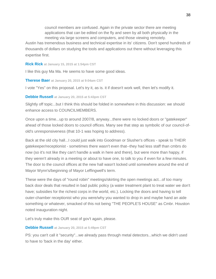council members are confused. Again in the private sector there are meeting applications that can be edited on the fly and seen by all both physically in the meeting via large screens and computers, and those viewing remotely.

Austin has tremendous business and technical expertise in its' citizens. Don't spend hundreds of thousands of dollars on studying the tools and applications out there without leveraging this expertise first.

**[Rick Rick](http://speakupaustin.org/profile/4ffc6beae22d4a000a0004e0) at January 15, 2015 at 1:54pm CST**

I like this guy Ma Ma. He seems to have some good ideas.

**[Therese Baer](http://speakupaustin.org/profile/54be6d96a263be515f000ea1) at January 20, 2015 at 9:04am CST**

I vote "Yes" on this proposal. Let's try it, as is. it if doesn't work well, then let's modify it.

**[Debbie Russell](http://speakupaustin.org/profile/4dab66c5fd27f06be800042a) at January 20, 2015 at 5:43pm CST**

Slightly off topic...but I think this should be folded in somewhere in this discussion: we should enhance access to COUNCILMEMBERS.

Once upon a time...up to around 2007/8, anyway...there were no locked doors or "gatekeeper" ahead of those locked doors to council offices. Many see that step as symbolic of our council-ofold's unresponsiveness (that 10-1 was hoping to address).

Back at the old city hall...I could just walk into Goodman or Slusher's offices - speak to THEIR gatekeeper/receptionist - sometimes there wasn't even that--they had less staff than cmbrs do now (so it's not like they can't handle a walk in here and there), but were more than happy, if they weren't already in a meeting or about to have one, to talk to you if even for a few minutes. The door to the council offices at the new hall wasn't locked until somewhere around the end of Mayor Wynn's/beginning of Mayor Leffingwell's term.

These were the days of "round robin" meetings/skirting the open meetings act...of too many back door deals that resulted in bad public policy (a water treatment plant to treat water we don't have; subsidies for the richest corps in the world, etc.). Locking the doors and having to tell outer-chamber receptionist who you were/why you wanted to drop in and maybe hand an aide something or whatever, smacked of this not being "THE PEOPLE'S HOUSE" as Cmbr. Houston noted inauguration night.

Let's truly make this OUR seat of gov't again, please.

#### **[Debbie Russell](http://speakupaustin.org/profile/4dab66c5fd27f06be800042a) at January 20, 2015 at 5:49pm CST**

PS: you can't call it "security"...we already pass through metal detectors...which we didn't used to have to 'back in the day' either.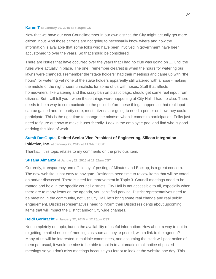#### **[Karen T](http://speakupaustin.org/profile/54bee74c6c9d6f103d0011f3) at January 20, 2015 at 6:16pm CST**

Now that we have our own Councilmember in our own district, the City might actually get more citizen input. And those citizens are not going to necessarily know where and how the information is available that some folks who have been involved in government have been accustomed to over the years. So that should be considered.

There are issues that have occurred over the years that I had no clue was going on .... until the rules were actually in place. The one I remember clearest is when the hours for watering our lawns were changed. I remember the "stake holders" had their meetings and came up with "the hours" for watering yet none of the stake holders apparently still watered with a hose - making the middle of the night hours unrealistic for some of us with hoses. Stuff that affects homeowners, like watering and this crazy ban on plastic bags, should get some real input from citizens. But I will tell you - when these things were happening at City Hall, I had no clue. There needs to be a way to communicate to the public before these things happen so that real input can be gained and I'm pretty sure, most citizens are going to need a primer on how they could participate. This is the right time to change the mindset when it comes to participation. Folks just need to figure out how to make it user friendly. Look in the employee pool and find who is good at doing this kind of work.

#### **[Sumit DasGupta,](http://speakupaustin.org/profile/54c13191a263be13bf000393) Retired Senior Vice President of Engineering, Silicon Integration**

**Initiative, Inc. at January 22, 2015 at 11:34am CST**

Thanks,... this topic relates to my comments on the previous item.

#### **[Susana Almanza](http://speakupaustin.org/profile/54c12ce1a263be13bf00032c) at January 22, 2015 at 11:52am CST**

Currently, transparency and efficiency of posting of Minutes and Backup, is a great concern. The new website is not easy to navigate. Residents need time to review items that will be voted on and/or discussed. There is need for improvement in Topic 3. Council meetings need to be rotated and held in the specific council districts. City Hall is not accessible to all, especially when there are to many items on the agenda, you can't find parking. District representatives need to be meeting in the community, not just City Hall, let's bring some real change and real public engagement. District representatives need to inform their District residents about upcoming items that will impact the District and/or City wide changes.

#### **[Heidi Gerbracht](http://speakupaustin.org/profile/54c137ea6c9d6f40e9001f57) at January 22, 2015 at 12:26pm CST**

Not completely on topic, but on the availability of useful information: How about a way to opt in to getting emailed notice of meetings as soon as they're posted, with a link to the agenda? Many of us will be interested in multiple committees, and assuming the clerk will post notice of them per usual, it would be nice to be able to opt in to automatic email notice of posted meetings so you don't miss meetings because you forgot to look at the website one day. This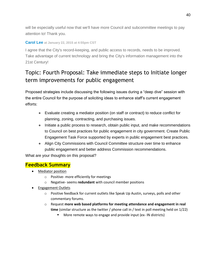will be especially useful now that we'll have more Council and subcommittee meetings to pay attention to! Thank you.

#### **[Carol Lee](http://speakupaustin.org/profile/54c17787a263be13bf0006d9) at January 22, 2015 at 4:55pm CST**

I agree that the City's record-keeping, and public access to records, needs to be improved. Take advantage of current technology and bring the City's information management into the 21st Century!

# <span id="page-40-0"></span>Topic: [Fourth Proposal: Take immediate steps to Initiate longer](http://speakupaustin.org/discussions/enhancing-public-participation-at-city-council/topics/fourth-proposal-take-immediate-steps-to-initiate-longer-term-improvements-for-public-engagement)  [term improvements for public engagement](http://speakupaustin.org/discussions/enhancing-public-participation-at-city-council/topics/fourth-proposal-take-immediate-steps-to-initiate-longer-term-improvements-for-public-engagement)

Proposed strategies include discussing the following issues during a "deep dive" session with the entire Council for the purpose of soliciting ideas to enhance staff's current engagement efforts:

- Evaluate creating a mediator position (on staff or contract) to reduce conflict for planning, zoning, contracting, and purchasing issues.
- Initiate a public process to research, obtain public input, and make recommendations to Council on best practices for public engagement in city government. Create Public Engagement Task Force supported by experts in public engagement best practices.
- Align City Commissions with Council Committee structure over time to enhance public engagement and better address Commission recommendations.

What are your thoughts on this proposal?

### **Feedback Summary**

- Mediator position
	- o Positive- more efficiently for meetings
	- o Negative- seems **redundant** with council member positions
- Engagement Outlets
	- $\circ$  Positive feedback for current outlets like Speak Up Austin, surveys, polls and other commentary forums.
	- o Request **more web based platforms for meeting attendance and engagement in real time** (similar structure as the twitter / phone call in / text in poll meeting held on 1/22)
		- More remote ways to engage and provide input (ex- IN districts)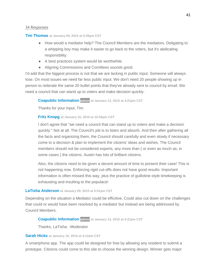#### 34 Responses

#### **[Tim Thomas](http://speakupaustin.org/profile/54b0631c6c9d6f52cb000002) at January 09, 2015 at 5:35pm CST**

- How would a mediator help? The Council Members are the mediators. Deligating to a whipping boy may make it easier to go back to the voters, but it's abdicating responsbility.
- A best practices system would be worthwhile.
- Aligning Commissions and Comittees sounds good.

I'd add that the biggest process is not that we are lacking in public input. Someone will always lose. On most issues we need far less public input. We don't need 20 people showing up in person to reiterate the same 20 bullet points that they've already sent to council by email. We need a council that can stand up to voters and make decision quickly.

#### **[Coapublic Information](http://speakupaustin.org/profile/4dc971c2b0b8df3aa60002f3) admin at January 13, 2015 at 4:21pm CST**

Thanks for your input, Tim.

#### **[Fritz Knopg](http://speakupaustin.org/profile/54b897176c9d6fe6cd002bb1) at January 15, 2015 at 10:56pm CST**

I don't agree that "we need a council that can stand up to voters and make a decision quickly." Not at all. The Council's job is to listen and absorb. And then after gathering all the facts and organizing them, the Council should carefully and even slowly if necessary come to a decision & plan to implement the citizens' ideas and wishes. The Council members should not be considered experts, any more than ( or even as much as, in some cases ) the citizens. Austin has lots of brilliant citizens.

Also, the citizens need to be given a decent amount of time to present their case! This is not happening now. Enforcing rigid cut-offs does not have good results: Important information is often missed this way, plus the practice of guillotine-style timekeeping is exhausting and insulting to the populace!

#### **[LaTisha Anderson](http://speakupaustin.org/profile/52f161ef8f49d99adb002613) at January 09, 2015 at 5:51pm CST**

Depending on the situation a Mediator could be efficitive. Could also cut down on the challenges that could or would have been resolved by a mediator but instead are being addressed by Council Members.

#### **[Coapublic Information](http://speakupaustin.org/profile/4dc971c2b0b8df3aa60002f3) admin at January 13, 2015 at 4:21pm CST**

Thanks, LaTisha. -Moderator

#### **[Sarah Hicks](http://speakupaustin.org/profile/54463256a263be09670010d7) at January 10, 2015 at 4:12am CST**

A smartphone app. The app could be designed for free by allowing any resident to submit a prototype. Citizens could come to this site to choose the winning design. Winner gets major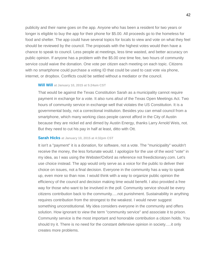publicity and their name goes on the app. Anyone who has been a resident for two years or longer is eligible to buy the app for their phone for \$5.00. All proceeds go to the homeless for food and shelter. The app could have several topics for locals to view and vote on what they feel should be reviewed by the council. The proposals with the highest votes would then have a chance to speak to council. Less people at meetings, less time wasted, and better accuracy on public opinion. If anyone has a problem with the \$5.00 one time fee, two hours of community service could waive the donation. One vote per citizen each meeting on each topic. Citizens with no smartphone could purchase a voting ID that could be used to cast vote via phone, internet, or dropbox. Conflicts could be settled without a mediator or the council.

#### **[Will Will](http://speakupaustin.org/profile/4f51da44f8bfb400010000a0) at January 10, 2015 at 5:24am CST**

That would be against the Texas Constitution Sarah as a municipality cannot require payment in exchange for a vote. It also runs afoul of the Texas Open Meetings Act. Two hours of community service in exchange well that violates the US Constitution. It is a governmental body, not a correctional institution. Besides you can email council from a smartphone, which many working class people cannot afford in the City of Austin because they are nickel ed and dimed by Austin Energy, thanks Larry Arnold Weis, not. But they need to cut his pay in half at least, ditto with Ott.

#### **[Sarah Hicks](http://speakupaustin.org/profile/54463256a263be09670010d7) at January 10, 2015 at 4:32pm CST**

It isn't a "payment" it is a donation, for software, not a vote. The "municipality" wouldn't receive the money, the less fortunate would. I apologize for the use of the word "vote" in my idea, as I was using the Webster/Oxford as reference not freedictionary.com. Let's use choice instead. The app would only serve as a voice for the public to deliver their choice on issues, not a final decision. Everyone in the community has a way to speak up, even more so than now. I would think with a way to organize public opinion the efficiency of the council and decision making time would benefit. I also provided a free way for those who want to be involved in the poll. Community service should be every citizens contribution back to the community.....not punishment. Sustainability in anything requires contribution from the strongest to the weakest. I would never suggest something unconstitutional. My idea considers everyone in the community and offers solution. How ignorant to view the term "community service" and associate it to prison. Community service is the most important and honorable contribution a citizen holds. You should try it. There is no need for the constant defensive opinion in society.....it only creates more problems.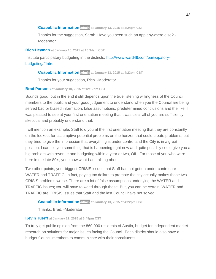#### **[Coapublic Information](http://speakupaustin.org/profile/4dc971c2b0b8df3aa60002f3) admin at January 13, 2015 at 4:24pm CST**

Thanks for the suggestion, Sarah. Have you seen such an app anywhere else? - **Moderator** 

#### **[Rich Heyman](http://speakupaustin.org/profile/54b15217a263be0ede000339) at January 10, 2015 at 10:34am CST**

Institute participatory budgeting in the districts: [http://www.ward49.com/participatory](http://www.ward49.com/participatory-budgeting/#Intro)[budgeting/#Intro](http://www.ward49.com/participatory-budgeting/#Intro)

#### **[Coapublic Information](http://speakupaustin.org/profile/4dc971c2b0b8df3aa60002f3) admin at January 13, 2015 at 4:23pm CST**

Thanks for your suggestion, Rich. -Moderator

#### **[Brad Parsons](http://speakupaustin.org/profile/4f275ccc54e3370001000698) at January 10, 2015 at 12:12pm CST**

Sounds good, but in the end it still depends upon the true listening willingness of the Council members to the public and your good judgement to understand when you the Council are being served bad or biased information, false assumptions, predetermined conclusions and the like. I was pleased to see at your first orientation meeting that it was clear all of you are sufficiently skeptical and probably understand that.

I will mention an example. Staff told you at the first orientation meeting that they are constantly on the lookout for assumptive potential problems on the horizon that could create problems, but they tried to give the impression that everything is under control and the City is in a great position. I can tell you something that is happening right now and quite possibly could give you a big problem with revenue and budgeting within a year or two, OIL. For those of you who were here in the late 80's, you know what I am talking about.

Two other points, your biggest CRISIS issues that Staff has not gotten under control are WATER and TRAFFIC. In fact, paying tax dollars to promote the city actually makes those two CRISIS problems worse. There are a lot of false assumptions underlying the WATER and TRAFFIC issues; you will have to weed through those. But, you can be certain, WATER and TRAFFIC are CRISIS issues that Staff and the last Council have not solved.

#### **[Coapublic Information](http://speakupaustin.org/profile/4dc971c2b0b8df3aa60002f3) admin at January 13, 2015 at 4:22pm CST**

Thanks, Brad. -Moderator

#### **[Kevin Tuerff](http://speakupaustin.org/profile/5172b838eb4f2a890600028d) at January 11, 2015 at 6:49pm CST**

To truly get public opinion from the 860,000 residents of Austin, budget for independent market research on solutions for major issues facing the Council. Each district should also have a budget Council members to communicate with their constituents.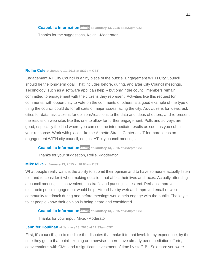**[Coapublic Information](http://speakupaustin.org/profile/4dc971c2b0b8df3aa60002f3) admin at January 13, 2015 at 4:23pm CST**

Thanks for the suggestions, Kevin. -Moderator

#### **[Rollie Cole](http://speakupaustin.org/profile/516f209f068ea2c62d000b56) at January 11, 2015 at 8:37pm CST**

Engagement AT City Council is a tiny piece of the puzzle. Engagement WITH City Council should be the long-term goal. That includes before, during, and after City Council meetings. Technology, such as a software app, can help -- but only if the council members remain committed to engagement with the citizens they represent. Activities like this request for comments, with opportunity to vote on the comments of others, is a good example of the type of thing the council could do for all sorts of major issues facing the city. Ask citizens for ideas, ask cities for data, ask citizens for opinions/reactions to the data and ideas of others, and re-present the results on web sites like this one to allow for further engagement. Polls and surveys are good, especially the kind where you can see the intermediate results as soon as you submit your response. Work with places like the Annette Straus Center at UT for more ideas on engagement WITH city council, not just AT city council meetings.

#### **[Coapublic Information](http://speakupaustin.org/profile/4dc971c2b0b8df3aa60002f3) admin at January 13, 2015 at 4:32pm CST**

Thanks for your suggestion, Rollie. -Moderator

#### **[Mike Mike](http://speakupaustin.org/profile/4f7afb7abcca670001000031) at January 13, 2015 at 10:04am CST**

What people really want is the ability to submit their opinion and to have someone actually listen to it and to consider it when making decision that affect their lives and taxes. Actually attending a council meeting is inconvenient, has traffic and parking issues, ect. Perhaps improved electronic public engagement would help. Attend live by web and improved email or web community feedback during and before meetings would help engage with the public. The key is to let people know their opinion is being heard and considered.

#### **[Coapublic Information](http://speakupaustin.org/profile/4dc971c2b0b8df3aa60002f3) admin at January 13, 2015 at 4:40pm CST**

Thanks for your input, Mike. -Moderator

#### **[Jennifer Houlihan](http://speakupaustin.org/profile/4f0b5ebf1d699f00010000a1) at January 13, 2015 at 11:33am CST**

First, it's council's job to mediate the disputes that make it to that level. In my experience, by the time they get to that point - zoning or otherwise - there have already been mediation efforts, conversations with CMs, and a significant investment of time by staff. Be Solomon: you were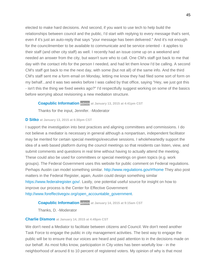elected to make hard decisions. And second, if you want to use tech to help build the relationships between council and the public, I'd start with replying to every message that's sent, even if it's just an auto-reply that says "your message has been delivered." And it's not enough for the councilmember to be available to communicate and be service oriented - it applies to their staff (and other city staff) as well. I recently had an issue come up on a weekend and needed an answer from the city, but wasn't sure who to call. One CM's staff got back to me that day with the contact info for the person I needed, and had let them know I'd be calling. A second CM's staff got back to me the next day, with some (but not all) of the same info. And the third CM's staff sent me a form email on Monday, letting me know they had filed some sort of form on my behalf...and it was two weeks before I was called by that office, saying "Hey, we just got this - isn't this the thing we fixed weeks ago?" I'd respectfully suggest working on some of the basics before worrying about revisioning a new mediation structure.

#### **[Coapublic Information](http://speakupaustin.org/profile/4dc971c2b0b8df3aa60002f3) admin at January 13, 2015 at 4:41pm CST**

Thanks for the input, Jennifer. -Moderator

#### **[D Sitko](http://speakupaustin.org/profile/5421c0f8e8eb85bc580002d7) at January 13, 2015 at 6:30pm CST**

I support the investigation into best practices and aligning committees and commissions. I do not believe a mediator is necessary in general although a nonpartisan, independent facilitator may be merited for certain special meetings/executive sessions. I wholeheartedly support the idea of a web based platform during the council meetings so that residents can listen, view, and submit comments and questions in real time without having to actually attend the meeting. These could also be used for committees or special meetings on given topics (e.g. work groups). The Federal Government uses this website for public comment on Federal regulations. Perhaps Austin can model something similar.<http://www.regulations.gov/#!home> They also post matters in the Federal Register, again, Austin could design something similar [https://www.federalregister.gov/.](https://www.federalregister.gov/) Lastly, one potential useful source for insight on how to improve our process is the Center for Effective Government [http://www.foreffectivegov.org/open\\_accountable\\_government.](http://www.foreffectivegov.org/open_accountable_government)

#### **[Coapublic Information](http://speakupaustin.org/profile/4dc971c2b0b8df3aa60002f3) admin at January 14, 2015 at 9:15am CST**

Thanks, D. -Moderator

#### **[Charlie Dismore](http://speakupaustin.org/profile/54b6ecdc6c9d6f49e0002246) at January 14, 2015 at 4:49pm CST**

We don't need a Mediator to facilitate between citizens and Council. We don't need another Task Force to engage the public in city management activities. The best way to engage the public will be to ensure that our voices are heard and paid attention to in the decisions made on our behalf. As most folks know, participation in City votes has been woefully low - in the neighborhood of around 8 to 10 percent of registered voters. My opinion of why is that most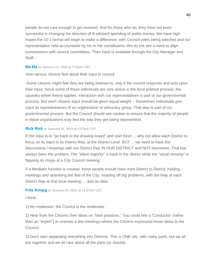people do not care enough to get involved. And for those who do, they have not been successful in changing the direction of ill-advised spending of public money. We have high hopes the 10-1 format will begin to make a difference, with Council votes being watched and our representative held accountable by his or her constituents. We do not see a need to align commissions with council committees. Their input is available through the City Manager and Staff.

#### **[Ma Ma](http://speakupaustin.org/profile/5123ee8454fc4c03a20006c7) at January 14, 2015 at 7:15pm CST**

How various citizens feel about their input to council

-Some citizens might feel they are being listened to, only if the council responds and acts upon their input. Since some of these individuals are very active in the local political process, the squeaky wheel theory applies. Interaction with our representatives is part of our governmental process. But each citizens input should be given equal weight. - Sometimes individuals give input as representatives of an organization or advocacy group. That also is part of our governmental process. But the Council should use caution to ensure that the majority of people in these organizations truly feel the way they are being represented.

#### **[Rick Rick](http://speakupaustin.org/profile/4ffc6beae22d4a000a0004e0) at January 15, 2015 at 2:07pm CST**

If this topic is to "go back to the drawing board" and start fresh ... why not allow each District to focus on its input to its District Rep, at the District Level. BUT ... we need to have the discussions / meetings with our District Rep IN OUR DISTRICT and NOT downtown. That has always been the problem. The "silent majority" is back in the district while the "vocal minority" is flapping its chops at a City Council meeting.

If a Mediator function is created, those people should roam from District to District, holding meetings and absorbing the feel of the City, heading off big problems, with the help of each District Rep at that local meeting ... Just an idea.

#### **[Fritz Knopg](http://speakupaustin.org/profile/54b897176c9d6fe6cd002bb1) at January 15, 2015 at 11:07pm CST**

I think:

1) No moderator: the Council is the moderator.

2) Hear from the Citizens their ideas on "best practices." You could hire a 'Conductor' (rather than an "expert") to oversee a few meetings where the Citizens expressed those ideas to the Council.

3) Don't start separating everything into Districts. This is ONE city, with many parts, but we all live together and we all care about all the parts (or should).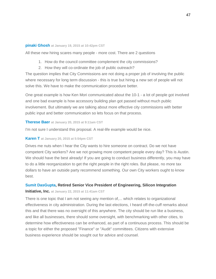#### **[pinaki Ghosh](http://speakupaustin.org/profile/54bb3968a263bef660000333) at January 19, 2015 at 10:42pm CST**

All these new hiring scares many people - more cost. There are 2 questions

- 1. How do the council committee complement the city commissions?
- 2. How they will co-ordinate the job of public outreach?

The question implies that City Commissions are not doing a proper job of involving the public where necessary for long term discussion - this is true but hiring a new set of people will not solve this. We have to make the communication procedure better.

One great example is how Ken Mori communicated about the 10-1 - a lot of people got involved and one bad example is how accessory building plan got passed without much public involvement. But ultimately we are talking about more effective city commissions with better public input and better communication so lets focus on that process.

#### **[Therese Baer](http://speakupaustin.org/profile/54be6d96a263be515f000ea1) at January 20, 2015 at 9:11am CST**

I'm not sure I understand this proposal. A real-life example would be nice.

#### **[Karen T](http://speakupaustin.org/profile/54bee74c6c9d6f103d0011f3) at January 20, 2015 at 5:54pm CST**

Drives me nuts when I hear the City wants to hire someone on contract. Do we not have competent City workers? Are we not growing more competent people every day? This is Austin. We should have the best already! If you are going to conduct business differently, you may have to do a little reorganization to get the right people in the right roles. But please, no more tax dollars to have an outside party recommend something. Our own City workers ought to know best.

#### **[Sumit DasGupta,](http://speakupaustin.org/profile/54c13191a263be13bf000393) Retired Senior Vice President of Engineering, Silicon Integration**

#### **Initiative, Inc. at January 22, 2015 at 11:41am CST**

There is one topic that I am not seeing any mention of,... which relates to organizational effectiveness in city administration. During the last elections, I heard off-the-cuff remarks about this and that there was no oversight of this anywhere. The city should be run like a business, and like all businesses, there should some oversight, with benchmarking with other cities, to determine how effectiveness can be enhanced, as part of a continuous process. This should be a topic for either the proposed "Finance" or "Audit" committees. Citizens with extensive business experience should be sought out for advice and counsel.